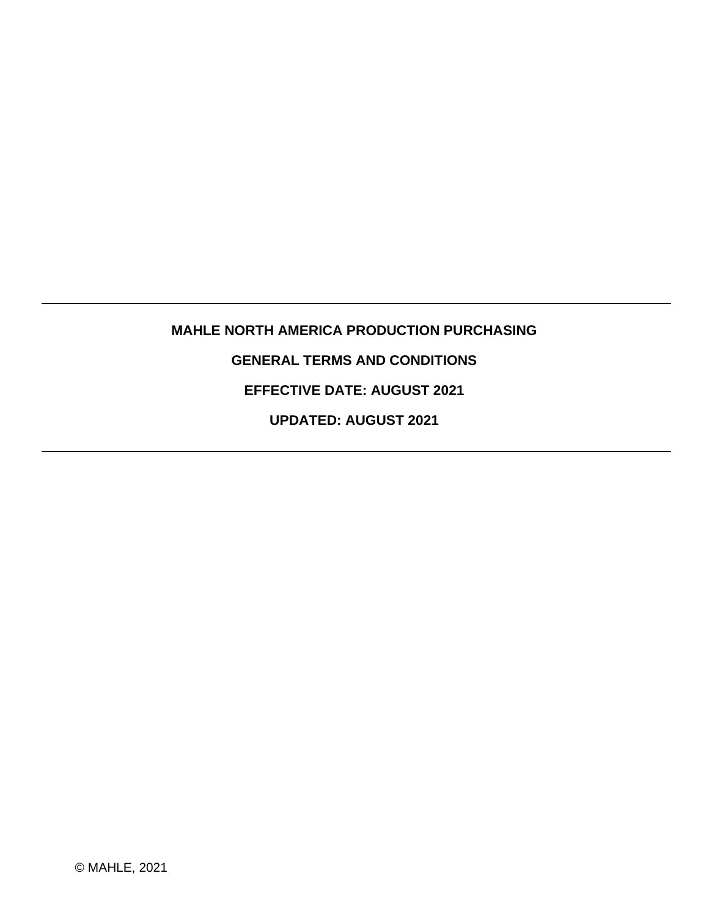# **MAHLE NORTH AMERICA PRODUCTION PURCHASING GENERAL TERMS AND CONDITIONS EFFECTIVE DATE: AUGUST 2021**

**UPDATED: AUGUST 2021**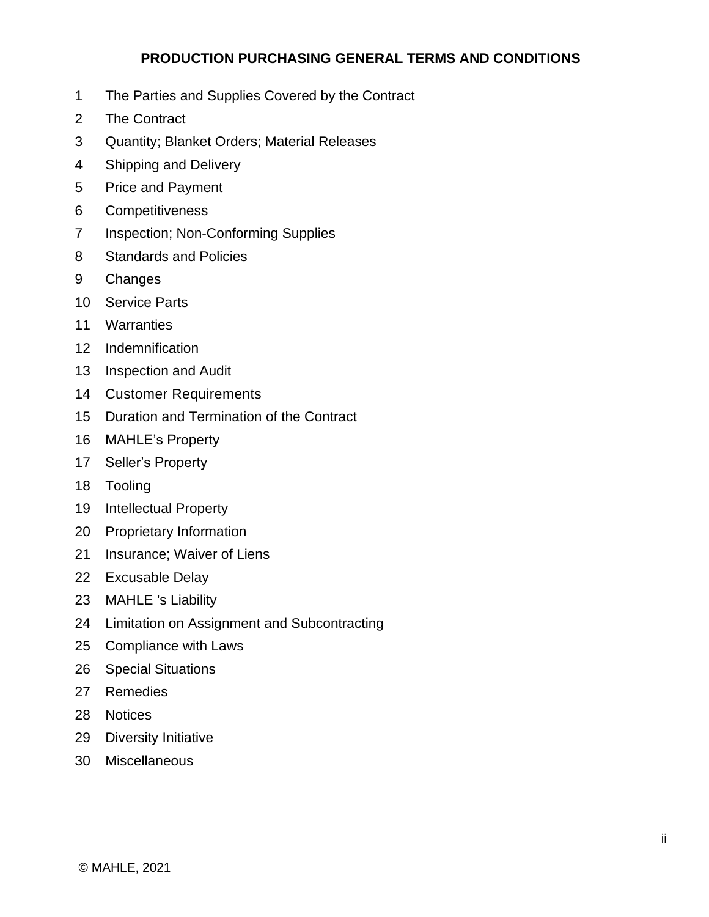# **[PRODUCTION PURCHASING GENERAL TERMS AND CONDITIONS](#page-2-0)**

- [The Parties and Supplies Covered by the Contract](#page-2-1)
- [The Contract](#page-2-2)
- [Quantity; Blanket Orders; Material Releases](#page-3-0)
- [Shipping and Delivery](#page-4-0)
- [Price and Payment](#page-7-0)
- [Competitiveness](#page-8-0)
- [Inspection; Non-Conforming Supplies](#page-8-1)
- [Standards and Policies](#page-11-0)
- [Changes](#page-12-0)
- [Service Parts](#page-13-0)
- [Warranties](#page-14-0)
- [Indemnification](#page-15-0)
- [Inspection and Audit](#page-16-0)
- [Customer Requirements](#page-16-1)
- [Duration and Termination of the Contract](#page-16-2)
- [MAHLE's Property](#page-21-0)
- [Seller's Property](#page-22-0)
- [Tooling](#page-23-0)
- [Intellectual Property](#page-24-0)
- [Proprietary Information](#page-25-0)
- [Insurance; Waiver of Liens](#page-26-0)
- [Excusable Delay](#page-27-0)
- [MAHLE 's Liability](#page-28-0)
- [Limitation on Assignment and Subcontracting](#page-28-1)
- [Compliance with Laws](#page-29-0)
- [Special Situations](#page-29-1)
- [Remedies](#page-30-0)
- [Notices](#page-30-1)
- [Diversity Initiative](#page-31-0)
- [Miscellaneous](#page-31-1)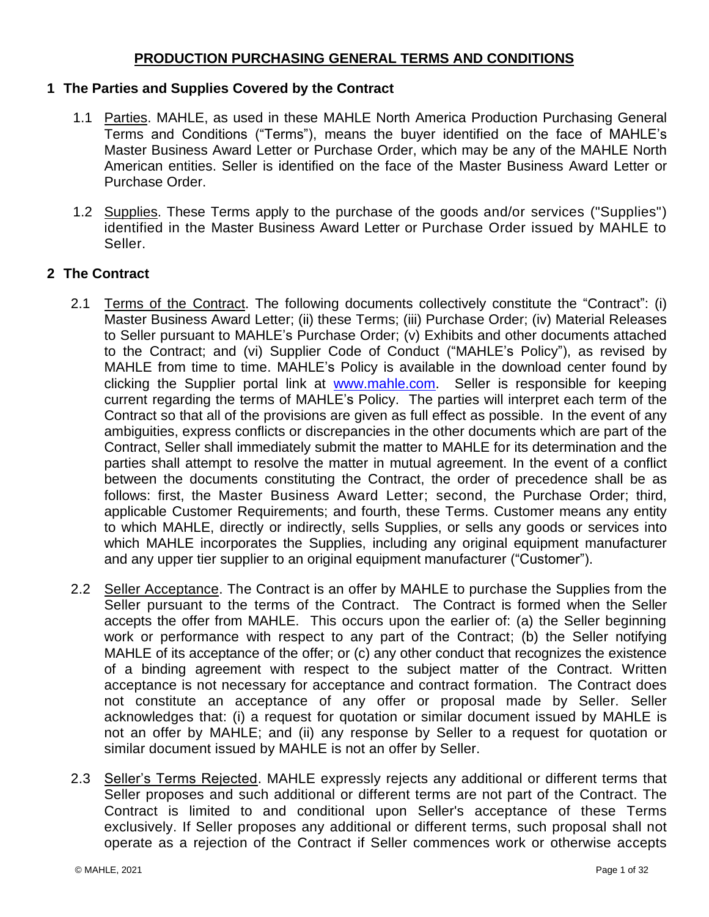## **PRODUCTION PURCHASING GENERAL TERMS AND CONDITIONS**

#### <span id="page-2-1"></span><span id="page-2-0"></span>**1 The Parties and Supplies Covered by the Contract**

- 1.1 Parties. MAHLE, as used in these MAHLE North America Production Purchasing General Terms and Conditions ("Terms"), means the buyer identified on the face of MAHLE's Master Business Award Letter or Purchase Order, which may be any of the MAHLE North American entities. Seller is identified on the face of the Master Business Award Letter or Purchase Order.
- 1.2 Supplies. These Terms apply to the purchase of the goods and/or services ("Supplies") identified in the Master Business Award Letter or Purchase Order issued by MAHLE to Seller.

## <span id="page-2-2"></span>**2 The Contract**

- 2.1 Terms of the Contract. The following documents collectively constitute the "Contract": (i) Master Business Award Letter; (ii) these Terms; (iii) Purchase Order; (iv) Material Releases to Seller pursuant to MAHLE's Purchase Order; (v) Exhibits and other documents attached to the Contract; and (vi) Supplier Code of Conduct ("MAHLE's Policy"), as revised by MAHLE from time to time. MAHLE's Policy is available in the download center found by clicking the Supplier portal link at [www.mahle.com.](http://www.mahle.com/) Seller is responsible for keeping current regarding the terms of MAHLE's Policy. The parties will interpret each term of the Contract so that all of the provisions are given as full effect as possible. In the event of any ambiguities, express conflicts or discrepancies in the other documents which are part of the Contract, Seller shall immediately submit the matter to MAHLE for its determination and the parties shall attempt to resolve the matter in mutual agreement. In the event of a conflict between the documents constituting the Contract, the order of precedence shall be as follows: first, the Master Business Award Letter; second, the Purchase Order; third, applicable Customer Requirements; and fourth, these Terms. Customer means any entity to which MAHLE, directly or indirectly, sells Supplies, or sells any goods or services into which MAHLE incorporates the Supplies, including any original equipment manufacturer and any upper tier supplier to an original equipment manufacturer ("Customer").
- 2.2 Seller Acceptance. The Contract is an offer by MAHLE to purchase the Supplies from the Seller pursuant to the terms of the Contract. The Contract is formed when the Seller accepts the offer from MAHLE. This occurs upon the earlier of: (a) the Seller beginning work or performance with respect to any part of the Contract; (b) the Seller notifying MAHLE of its acceptance of the offer; or (c) any other conduct that recognizes the existence of a binding agreement with respect to the subject matter of the Contract. Written acceptance is not necessary for acceptance and contract formation. The Contract does not constitute an acceptance of any offer or proposal made by Seller. Seller acknowledges that: (i) a request for quotation or similar document issued by MAHLE is not an offer by MAHLE; and (ii) any response by Seller to a request for quotation or similar document issued by MAHLE is not an offer by Seller.
- 2.3 Seller's Terms Rejected. MAHLE expressly rejects any additional or different terms that Seller proposes and such additional or different terms are not part of the Contract. The Contract is limited to and conditional upon Seller's acceptance of these Terms exclusively. If Seller proposes any additional or different terms, such proposal shall not operate as a rejection of the Contract if Seller commences work or otherwise accepts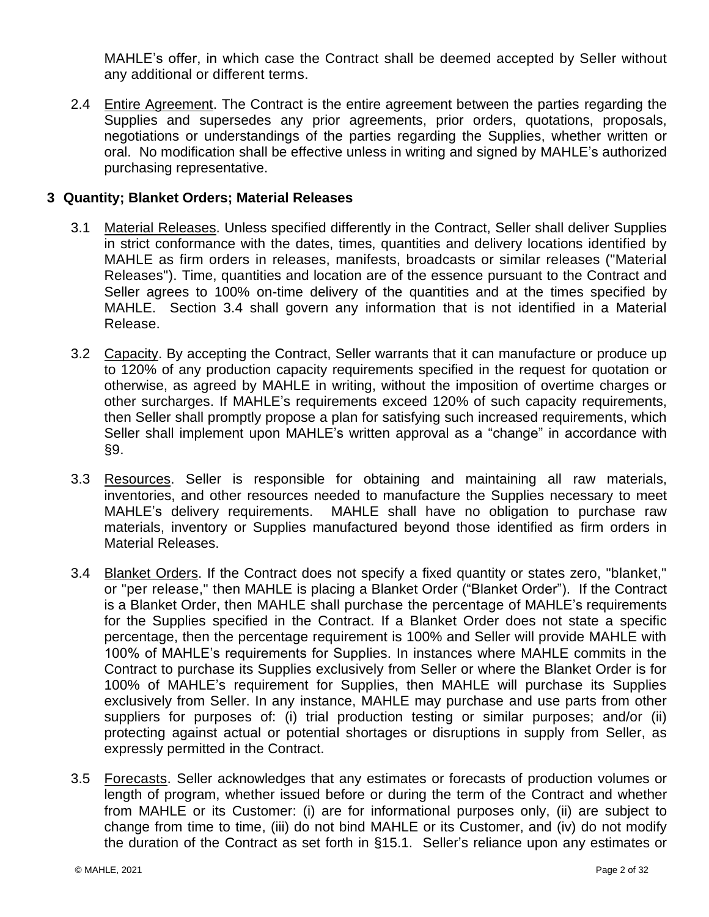MAHLE's offer, in which case the Contract shall be deemed accepted by Seller without any additional or different terms.

2.4 Entire Agreement. The Contract is the entire agreement between the parties regarding the Supplies and supersedes any prior agreements, prior orders, quotations, proposals, negotiations or understandings of the parties regarding the Supplies, whether written or oral. No modification shall be effective unless in writing and signed by MAHLE's authorized purchasing representative.

# <span id="page-3-0"></span>**3 Quantity; Blanket Orders; Material Releases**

- 3.1 Material Releases. Unless specified differently in the Contract, Seller shall deliver Supplies in strict conformance with the dates, times, quantities and delivery locations identified by MAHLE as firm orders in releases, manifests, broadcasts or similar releases ("Material Releases"). Time, quantities and location are of the essence pursuant to the Contract and Seller agrees to 100% on-time delivery of the quantities and at the times specified by MAHLE. Section [3.4](#page-3-1) shall govern any information that is not identified in a Material Release.
- 3.2 Capacity. By accepting the Contract, Seller warrants that it can manufacture or produce up to 120% of any production capacity requirements specified in the request for quotation or otherwise, as agreed by MAHLE in writing, without the imposition of overtime charges or other surcharges. If MAHLE's requirements exceed 120% of such capacity requirements, then Seller shall promptly propose a plan for satisfying such increased requirements, which Seller shall implement upon MAHLE's written approval as a "change" in accordance with [§9.](#page-12-0)
- <span id="page-3-2"></span>3.3 Resources. Seller is responsible for obtaining and maintaining all raw materials, inventories, and other resources needed to manufacture the Supplies necessary to meet MAHLE's delivery requirements. MAHLE shall have no obligation to purchase raw materials, inventory or Supplies manufactured beyond those identified as firm orders in Material Releases.
- <span id="page-3-1"></span>3.4 Blanket Orders. If the Contract does not specify a fixed quantity or states zero, "blanket," or "per release," then MAHLE is placing a Blanket Order ("Blanket Order"). If the Contract is a Blanket Order, then MAHLE shall purchase the percentage of MAHLE's requirements for the Supplies specified in the Contract. If a Blanket Order does not state a specific percentage, then the percentage requirement is 100% and Seller will provide MAHLE with 100% of MAHLE's requirements for Supplies. In instances where MAHLE commits in the Contract to purchase its Supplies exclusively from Seller or where the Blanket Order is for 100% of MAHLE's requirement for Supplies, then MAHLE will purchase its Supplies exclusively from Seller. In any instance, MAHLE may purchase and use parts from other suppliers for purposes of: (i) trial production testing or similar purposes; and/or (ii) protecting against actual or potential shortages or disruptions in supply from Seller, as expressly permitted in the Contract.
- 3.5 Forecasts. Seller acknowledges that any estimates or forecasts of production volumes or length of program, whether issued before or during the term of the Contract and whether from MAHLE or its Customer: (i) are for informational purposes only, (ii) are subject to change from time to time, (iii) do not bind MAHLE or its Customer, and (iv) do not modify the duration of the Contract as set forth in [§15.1.](#page-17-0) Seller's reliance upon any estimates or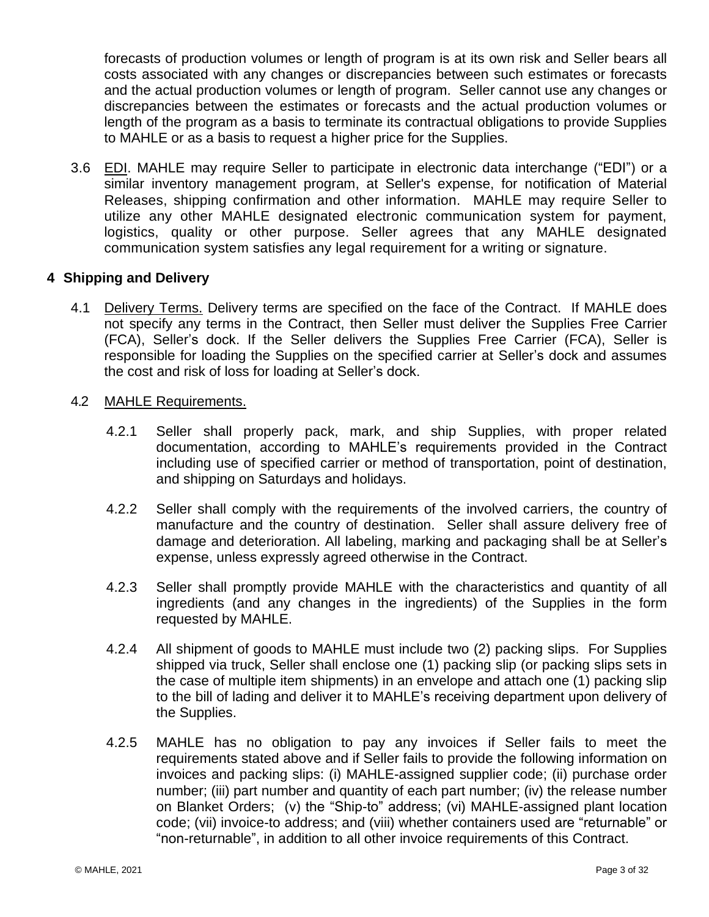forecasts of production volumes or length of program is at its own risk and Seller bears all costs associated with any changes or discrepancies between such estimates or forecasts and the actual production volumes or length of program. Seller cannot use any changes or discrepancies between the estimates or forecasts and the actual production volumes or length of the program as a basis to terminate its contractual obligations to provide Supplies to MAHLE or as a basis to request a higher price for the Supplies.

3.6 EDI. MAHLE may require Seller to participate in electronic data interchange ("EDI") or a similar inventory management program, at Seller's expense, for notification of Material Releases, shipping confirmation and other information. MAHLE may require Seller to utilize any other MAHLE designated electronic communication system for payment, logistics, quality or other purpose. Seller agrees that any MAHLE designated communication system satisfies any legal requirement for a writing or signature.

# <span id="page-4-0"></span>**4 Shipping and Delivery**

- 4.1 Delivery Terms. Delivery terms are specified on the face of the Contract. If MAHLE does not specify any terms in the Contract, then Seller must deliver the Supplies Free Carrier (FCA), Seller's dock. If the Seller delivers the Supplies Free Carrier (FCA), Seller is responsible for loading the Supplies on the specified carrier at Seller's dock and assumes the cost and risk of loss for loading at Seller's dock.
- 4.2 MAHLE Requirements.
	- 4.2.1 Seller shall properly pack, mark, and ship Supplies, with proper related documentation, according to MAHLE's requirements provided in the Contract including use of specified carrier or method of transportation, point of destination, and shipping on Saturdays and holidays.
	- 4.2.2 Seller shall comply with the requirements of the involved carriers, the country of manufacture and the country of destination. Seller shall assure delivery free of damage and deterioration. All labeling, marking and packaging shall be at Seller's expense, unless expressly agreed otherwise in the Contract.
	- 4.2.3 Seller shall promptly provide MAHLE with the characteristics and quantity of all ingredients (and any changes in the ingredients) of the Supplies in the form requested by MAHLE.
	- 4.2.4 All shipment of goods to MAHLE must include two (2) packing slips. For Supplies shipped via truck, Seller shall enclose one (1) packing slip (or packing slips sets in the case of multiple item shipments) in an envelope and attach one (1) packing slip to the bill of lading and deliver it to MAHLE's receiving department upon delivery of the Supplies.
	- 4.2.5 MAHLE has no obligation to pay any invoices if Seller fails to meet the requirements stated above and if Seller fails to provide the following information on invoices and packing slips: (i) MAHLE-assigned supplier code; (ii) purchase order number; (iii) part number and quantity of each part number; (iv) the release number on Blanket Orders; (v) the "Ship-to" address; (vi) MAHLE-assigned plant location code; (vii) invoice-to address; and (viii) whether containers used are "returnable" or "non-returnable", in addition to all other invoice requirements of this Contract.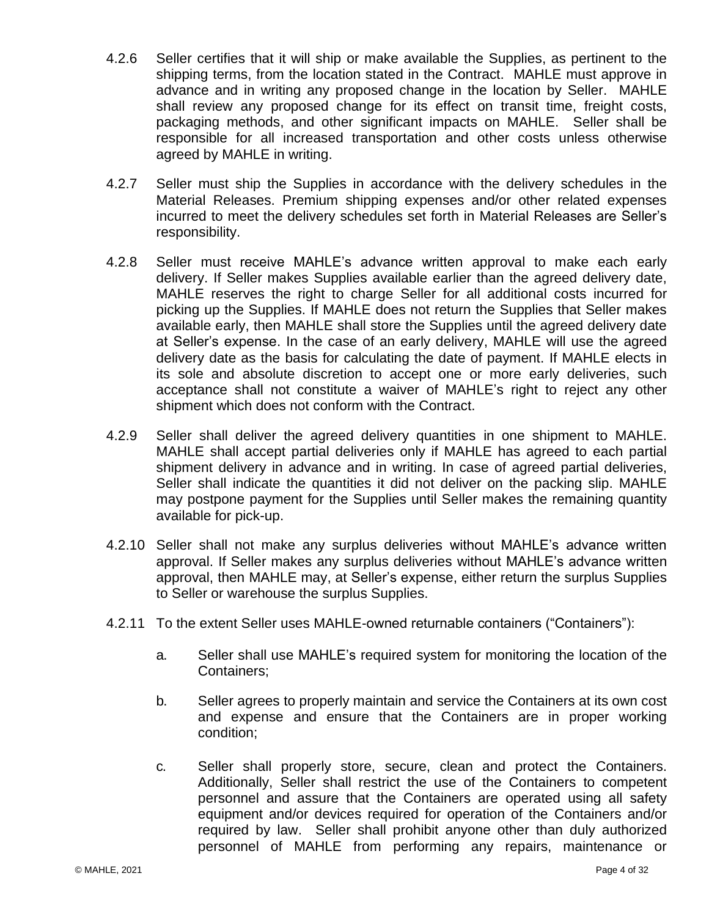- 4.2.6 Seller certifies that it will ship or make available the Supplies, as pertinent to the shipping terms, from the location stated in the Contract. MAHLE must approve in advance and in writing any proposed change in the location by Seller. MAHLE shall review any proposed change for its effect on transit time, freight costs, packaging methods, and other significant impacts on MAHLE. Seller shall be responsible for all increased transportation and other costs unless otherwise agreed by MAHLE in writing.
- 4.2.7 Seller must ship the Supplies in accordance with the delivery schedules in the Material Releases. Premium shipping expenses and/or other related expenses incurred to meet the delivery schedules set forth in Material Releases are Seller's responsibility.
- 4.2.8 Seller must receive MAHLE's advance written approval to make each early delivery. If Seller makes Supplies available earlier than the agreed delivery date, MAHLE reserves the right to charge Seller for all additional costs incurred for picking up the Supplies. If MAHLE does not return the Supplies that Seller makes available early, then MAHLE shall store the Supplies until the agreed delivery date at Seller's expense. In the case of an early delivery, MAHLE will use the agreed delivery date as the basis for calculating the date of payment. If MAHLE elects in its sole and absolute discretion to accept one or more early deliveries, such acceptance shall not constitute a waiver of MAHLE's right to reject any other shipment which does not conform with the Contract.
- 4.2.9 Seller shall deliver the agreed delivery quantities in one shipment to MAHLE. MAHLE shall accept partial deliveries only if MAHLE has agreed to each partial shipment delivery in advance and in writing. In case of agreed partial deliveries, Seller shall indicate the quantities it did not deliver on the packing slip. MAHLE may postpone payment for the Supplies until Seller makes the remaining quantity available for pick-up.
- 4.2.10 Seller shall not make any surplus deliveries without MAHLE's advance written approval. If Seller makes any surplus deliveries without MAHLE's advance written approval, then MAHLE may, at Seller's expense, either return the surplus Supplies to Seller or warehouse the surplus Supplies.
- 4.2.11 To the extent Seller uses MAHLE-owned returnable containers ("Containers"):
	- a. Seller shall use MAHLE's required system for monitoring the location of the Containers;
	- b. Seller agrees to properly maintain and service the Containers at its own cost and expense and ensure that the Containers are in proper working condition;
	- c. Seller shall properly store, secure, clean and protect the Containers. Additionally, Seller shall restrict the use of the Containers to competent personnel and assure that the Containers are operated using all safety equipment and/or devices required for operation of the Containers and/or required by law. Seller shall prohibit anyone other than duly authorized personnel of MAHLE from performing any repairs, maintenance or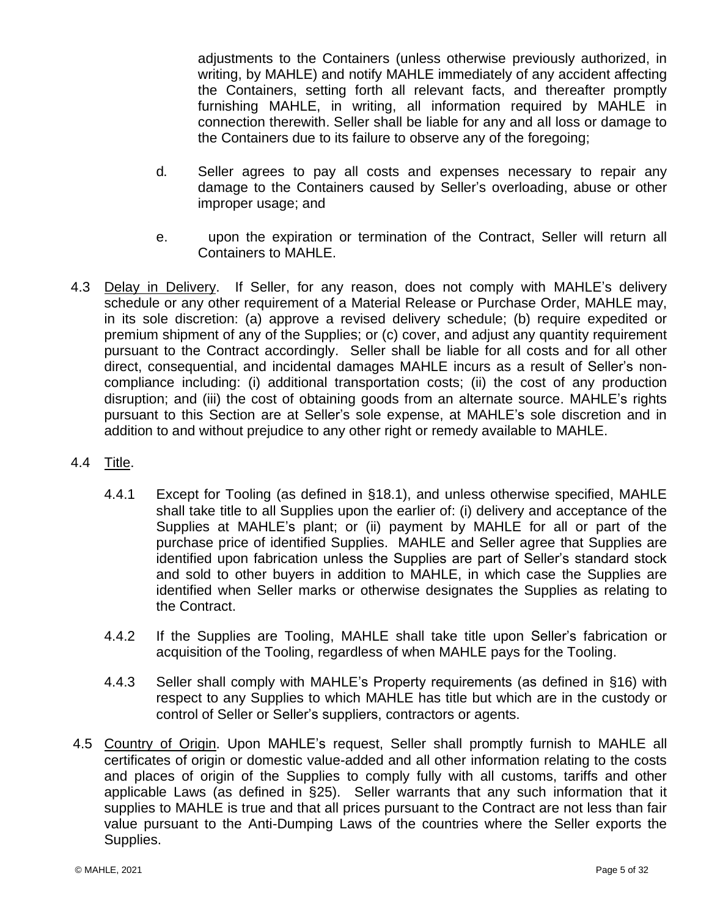adjustments to the Containers (unless otherwise previously authorized, in writing, by MAHLE) and notify MAHLE immediately of any accident affecting the Containers, setting forth all relevant facts, and thereafter promptly furnishing MAHLE, in writing, all information required by MAHLE in connection therewith. Seller shall be liable for any and all loss or damage to the Containers due to its failure to observe any of the foregoing;

- d. Seller agrees to pay all costs and expenses necessary to repair any damage to the Containers caused by Seller's overloading, abuse or other improper usage; and
- e. upon the expiration or termination of the Contract, Seller will return all Containers to MAHLE.
- 4.3 Delay in Delivery. If Seller, for any reason, does not comply with MAHLE's delivery schedule or any other requirement of a Material Release or Purchase Order, MAHLE may, in its sole discretion: (a) approve a revised delivery schedule; (b) require expedited or premium shipment of any of the Supplies; or (c) cover, and adjust any quantity requirement pursuant to the Contract accordingly. Seller shall be liable for all costs and for all other direct, consequential, and incidental damages MAHLE incurs as a result of Seller's noncompliance including: (i) additional transportation costs; (ii) the cost of any production disruption; and (iii) the cost of obtaining goods from an alternate source. MAHLE's rights pursuant to this Section are at Seller's sole expense, at MAHLE's sole discretion and in addition to and without prejudice to any other right or remedy available to MAHLE.
- 4.4 Title.
	- 4.4.1 Except for Tooling (as defined in §18.1), and unless otherwise specified, MAHLE shall take title to all Supplies upon the earlier of: (i) delivery and acceptance of the Supplies at MAHLE's plant; or (ii) payment by MAHLE for all or part of the purchase price of identified Supplies. MAHLE and Seller agree that Supplies are identified upon fabrication unless the Supplies are part of Seller's standard stock and sold to other buyers in addition to MAHLE, in which case the Supplies are identified when Seller marks or otherwise designates the Supplies as relating to the Contract.
	- 4.4.2 If the Supplies are Tooling, MAHLE shall take title upon Seller's fabrication or acquisition of the Tooling, regardless of when MAHLE pays for the Tooling.
	- 4.4.3 Seller shall comply with MAHLE's Property requirements (as defined in §16) with respect to any Supplies to which MAHLE has title but which are in the custody or control of Seller or Seller's suppliers, contractors or agents.
- 4.5 Country of Origin. Upon MAHLE's request, Seller shall promptly furnish to MAHLE all certificates of origin or domestic value-added and all other information relating to the costs and places of origin of the Supplies to comply fully with all customs, tariffs and other applicable Laws (as defined in §25). Seller warrants that any such information that it supplies to MAHLE is true and that all prices pursuant to the Contract are not less than fair value pursuant to the Anti-Dumping Laws of the countries where the Seller exports the Supplies.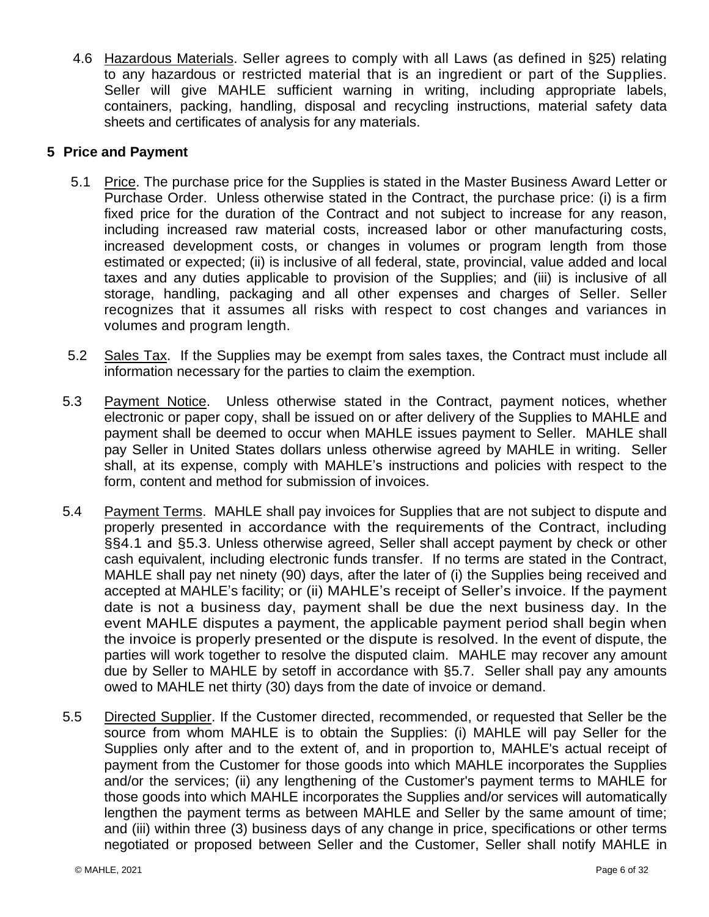4.6 Hazardous Materials. Seller agrees to comply with all Laws (as defined in §25) relating to any hazardous or restricted material that is an ingredient or part of the Supplies. Seller will give MAHLE sufficient warning in writing, including appropriate labels, containers, packing, handling, disposal and recycling instructions, material safety data sheets and certificates of analysis for any materials.

# <span id="page-7-0"></span>**5 Price and Payment**

- 5.1 Price. The purchase price for the Supplies is stated in the Master Business Award Letter or Purchase Order. Unless otherwise stated in the Contract, the purchase price: (i) is a firm fixed price for the duration of the Contract and not subject to increase for any reason, including increased raw material costs, increased labor or other manufacturing costs, increased development costs, or changes in volumes or program length from those estimated or expected; (ii) is inclusive of all federal, state, provincial, value added and local taxes and any duties applicable to provision of the Supplies; and (iii) is inclusive of all storage, handling, packaging and all other expenses and charges of Seller. Seller recognizes that it assumes all risks with respect to cost changes and variances in volumes and program length.
- 5.2 Sales Tax. If the Supplies may be exempt from sales taxes, the Contract must include all information necessary for the parties to claim the exemption.
- <span id="page-7-1"></span>5.3 Payment Notice. Unless otherwise stated in the Contract, payment notices, whether electronic or paper copy, shall be issued on or after delivery of the Supplies to MAHLE and payment shall be deemed to occur when MAHLE issues payment to Seller. MAHLE shall pay Seller in United States dollars unless otherwise agreed by MAHLE in writing. Seller shall, at its expense, comply with MAHLE's instructions and policies with respect to the form, content and method for submission of invoices.
- <span id="page-7-2"></span>5.4 Payment Terms. MAHLE shall pay invoices for Supplies that are not subject to dispute and properly presented in accordance with the requirements of the Contract, including §§4.1 and [§5.3.](#page-7-1) Unless otherwise agreed, Seller shall accept payment by check or other cash equivalent, including electronic funds transfer. If no terms are stated in the Contract, MAHLE shall pay net ninety (90) days, after the later of (i) the Supplies being received and accepted at MAHLE's facility; or (ii) MAHLE's receipt of Seller's invoice. If the payment date is not a business day, payment shall be due the next business day. In the event MAHLE disputes a payment, the applicable payment period shall begin when the invoice is properly presented or the dispute is resolved. In the event of dispute, the parties will work together to resolve the disputed claim. MAHLE may recover any amount due by Seller to MAHLE by setoff in accordance with [§5.7.](#page-8-2) Seller shall pay any amounts owed to MAHLE net thirty (30) days from the date of invoice or demand.
- 5.5 Directed Supplier. If the Customer directed, recommended, or requested that Seller be the source from whom MAHLE is to obtain the Supplies: (i) MAHLE will pay Seller for the Supplies only after and to the extent of, and in proportion to, MAHLE's actual receipt of payment from the Customer for those goods into which MAHLE incorporates the Supplies and/or the services; (ii) any lengthening of the Customer's payment terms to MAHLE for those goods into which MAHLE incorporates the Supplies and/or services will automatically lengthen the payment terms as between MAHLE and Seller by the same amount of time; and (iii) within three (3) business days of any change in price, specifications or other terms negotiated or proposed between Seller and the Customer, Seller shall notify MAHLE in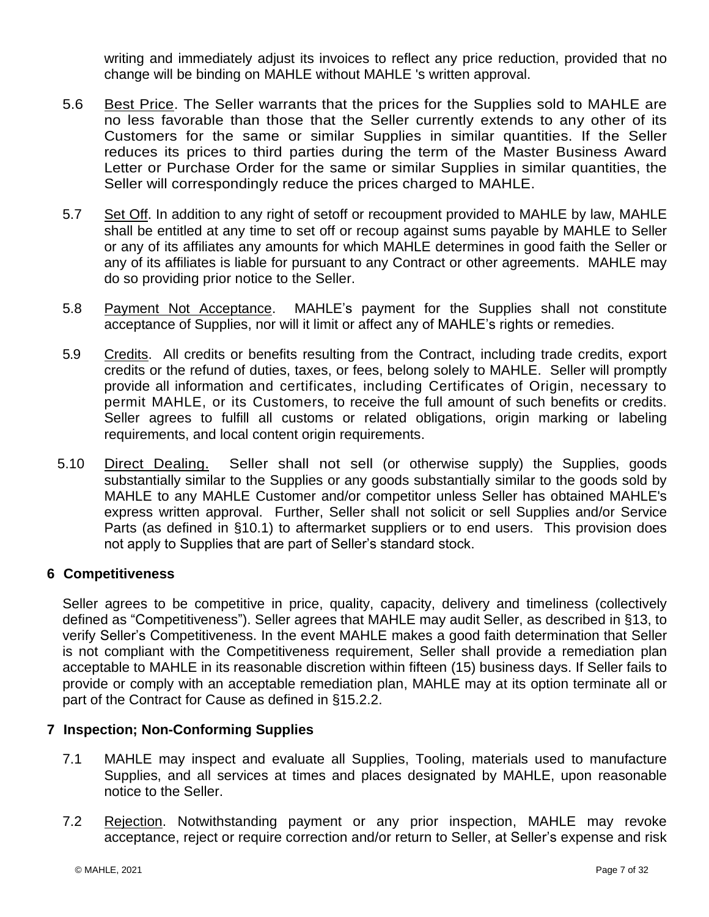writing and immediately adjust its invoices to reflect any price reduction, provided that no change will be binding on MAHLE without MAHLE 's written approval.

- 5.6 Best Price. The Seller warrants that the prices for the Supplies sold to MAHLE are no less favorable than those that the Seller currently extends to any other of its Customers for the same or similar Supplies in similar quantities. If the Seller reduces its prices to third parties during the term of the Master Business Award Letter or Purchase Order for the same or similar Supplies in similar quantities, the Seller will correspondingly reduce the prices charged to MAHLE.
- <span id="page-8-2"></span>5.7 Set Off. In addition to any right of setoff or recoupment provided to MAHLE by law, MAHLE shall be entitled at any time to set off or recoup against sums payable by MAHLE to Seller or any of its affiliates any amounts for which MAHLE determines in good faith the Seller or any of its affiliates is liable for pursuant to any Contract or other agreements. MAHLE may do so providing prior notice to the Seller.
- 5.8 Payment Not Acceptance. MAHLE's payment for the Supplies shall not constitute acceptance of Supplies, nor will it limit or affect any of MAHLE's rights or remedies.
- 5.9 Credits. All credits or benefits resulting from the Contract, including trade credits, export credits or the refund of duties, taxes, or fees, belong solely to MAHLE. Seller will promptly provide all information and certificates, including Certificates of Origin, necessary to permit MAHLE, or its Customers, to receive the full amount of such benefits or credits. Seller agrees to fulfill all customs or related obligations, origin marking or labeling requirements, and local content origin requirements.
- 5.10 Direct Dealing. Seller shall not sell (or otherwise supply) the Supplies, goods substantially similar to the Supplies or any goods substantially similar to the goods sold by MAHLE to any MAHLE Customer and/or competitor unless Seller has obtained MAHLE's express written approval. Further, Seller shall not solicit or sell Supplies and/or Service Parts (as defined in [§10.1\)](#page-13-1) to aftermarket suppliers or to end users. This provision does not apply to Supplies that are part of Seller's standard stock.

# <span id="page-8-0"></span>**6 Competitiveness**

Seller agrees to be competitive in price, quality, capacity, delivery and timeliness (collectively defined as "Competitiveness"). Seller agrees that MAHLE may audit Seller, as described in [§13,](#page-16-0) to verify Seller's Competitiveness. In the event MAHLE makes a good faith determination that Seller is not compliant with the Competitiveness requirement, Seller shall provide a remediation plan acceptable to MAHLE in its reasonable discretion within fifteen (15) business days. If Seller fails to provide or comply with an acceptable remediation plan, MAHLE may at its option terminate all or part of the Contract for Cause as defined in [§15.2.2.](#page-17-1)

## <span id="page-8-1"></span>**7 Inspection; Non-Conforming Supplies**

- 7.1 MAHLE may inspect and evaluate all Supplies, Tooling, materials used to manufacture Supplies, and all services at times and places designated by MAHLE, upon reasonable notice to the Seller.
- 7.2 Rejection. Notwithstanding payment or any prior inspection, MAHLE may revoke acceptance, reject or require correction and/or return to Seller, at Seller's expense and risk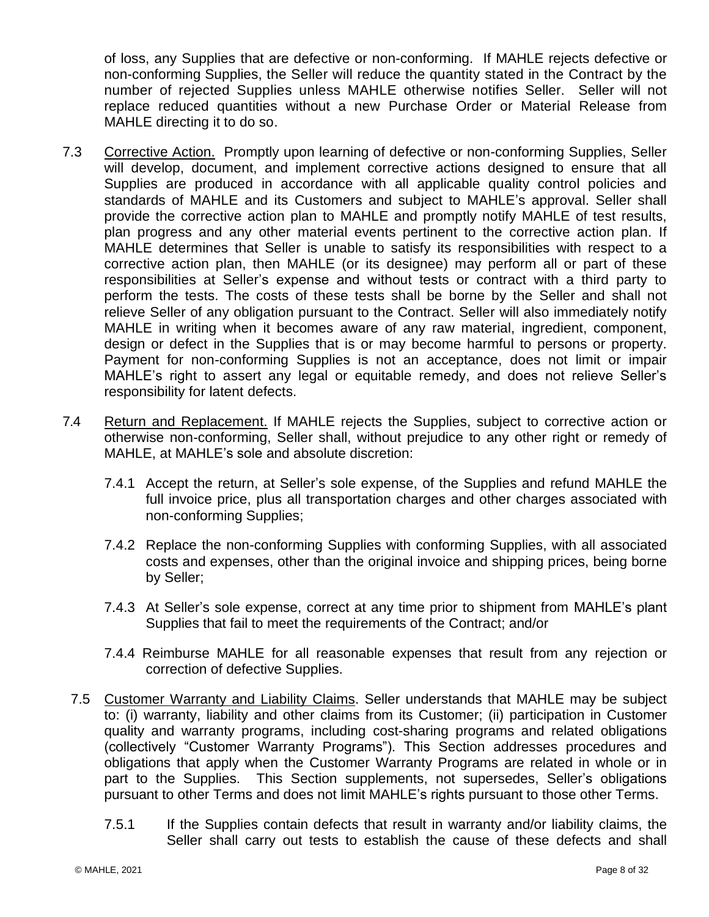of loss, any Supplies that are defective or non-conforming. If MAHLE rejects defective or non-conforming Supplies, the Seller will reduce the quantity stated in the Contract by the number of rejected Supplies unless MAHLE otherwise notifies Seller. Seller will not replace reduced quantities without a new Purchase Order or Material Release from MAHLE directing it to do so.

- 7.3 Corrective Action. Promptly upon learning of defective or non-conforming Supplies, Seller will develop, document, and implement corrective actions designed to ensure that all Supplies are produced in accordance with all applicable quality control policies and standards of MAHLE and its Customers and subject to MAHLE's approval. Seller shall provide the corrective action plan to MAHLE and promptly notify MAHLE of test results, plan progress and any other material events pertinent to the corrective action plan. If MAHLE determines that Seller is unable to satisfy its responsibilities with respect to a corrective action plan, then MAHLE (or its designee) may perform all or part of these responsibilities at Seller's expense and without tests or contract with a third party to perform the tests. The costs of these tests shall be borne by the Seller and shall not relieve Seller of any obligation pursuant to the Contract. Seller will also immediately notify MAHLE in writing when it becomes aware of any raw material, ingredient, component, design or defect in the Supplies that is or may become harmful to persons or property. Payment for non-conforming Supplies is not an acceptance, does not limit or impair MAHLE's right to assert any legal or equitable remedy, and does not relieve Seller's responsibility for latent defects.
- <span id="page-9-0"></span>7.4 Return and Replacement. If MAHLE rejects the Supplies, subject to corrective action or otherwise non-conforming, Seller shall, without prejudice to any other right or remedy of MAHLE, at MAHLE's sole and absolute discretion:
	- 7.4.1 Accept the return, at Seller's sole expense, of the Supplies and refund MAHLE the full invoice price, plus all transportation charges and other charges associated with non-conforming Supplies;
	- 7.4.2 Replace the non-conforming Supplies with conforming Supplies, with all associated costs and expenses, other than the original invoice and shipping prices, being borne by Seller;
	- 7.4.3 At Seller's sole expense, correct at any time prior to shipment from MAHLE's plant Supplies that fail to meet the requirements of the Contract; and/or
	- 7.4.4 Reimburse MAHLE for all reasonable expenses that result from any rejection or correction of defective Supplies.
	- 7.5 Customer Warranty and Liability Claims. Seller understands that MAHLE may be subject to: (i) warranty, liability and other claims from its Customer; (ii) participation in Customer quality and warranty programs, including cost-sharing programs and related obligations (collectively "Customer Warranty Programs"). This Section addresses procedures and obligations that apply when the Customer Warranty Programs are related in whole or in part to the Supplies. This Section supplements, not supersedes, Seller's obligations pursuant to other Terms and does not limit MAHLE's rights pursuant to those other Terms.
		- 7.5.1 If the Supplies contain defects that result in warranty and/or liability claims, the Seller shall carry out tests to establish the cause of these defects and shall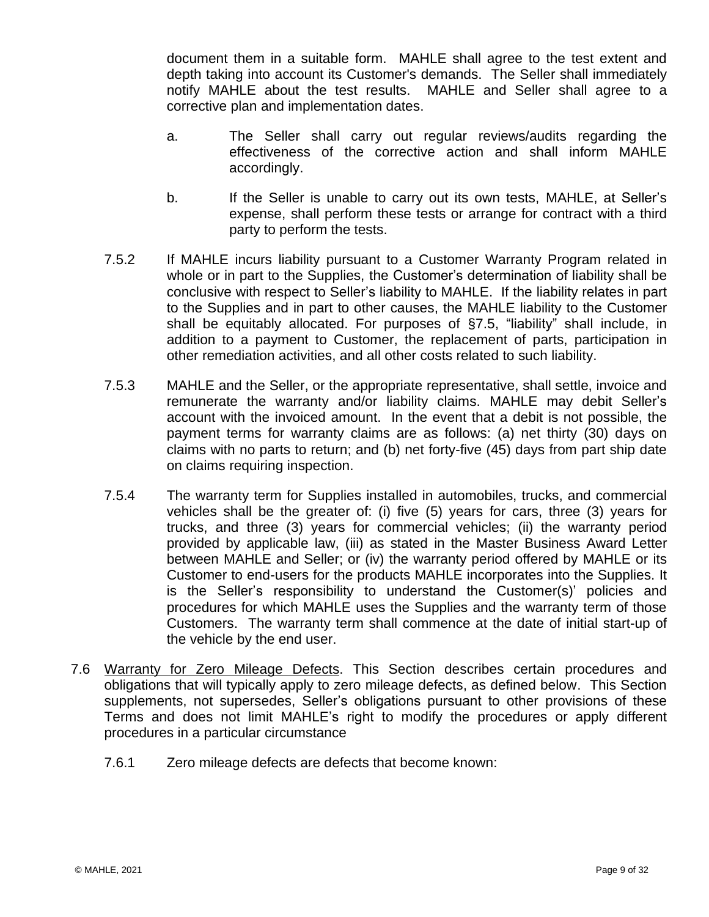document them in a suitable form. MAHLE shall agree to the test extent and depth taking into account its Customer's demands. The Seller shall immediately notify MAHLE about the test results. MAHLE and Seller shall agree to a corrective plan and implementation dates.

- a. The Seller shall carry out regular reviews/audits regarding the effectiveness of the corrective action and shall inform MAHLE accordingly.
- b. If the Seller is unable to carry out its own tests, MAHLE, at Seller's expense, shall perform these tests or arrange for contract with a third party to perform the tests.
- 7.5.2 If MAHLE incurs liability pursuant to a Customer Warranty Program related in whole or in part to the Supplies, the Customer's determination of liability shall be conclusive with respect to Seller's liability to MAHLE. If the liability relates in part to the Supplies and in part to other causes, the MAHLE liability to the Customer shall be equitably allocated. For purposes of [§7.5,](#page-9-0) "liability" shall include, in addition to a payment to Customer, the replacement of parts, participation in other remediation activities, and all other costs related to such liability.
- 7.5.3 MAHLE and the Seller, or the appropriate representative, shall settle, invoice and remunerate the warranty and/or liability claims. MAHLE may debit Seller's account with the invoiced amount. In the event that a debit is not possible, the payment terms for warranty claims are as follows: (a) net thirty (30) days on claims with no parts to return; and (b) net forty-five (45) days from part ship date on claims requiring inspection.
- 7.5.4 The warranty term for Supplies installed in automobiles, trucks, and commercial vehicles shall be the greater of: (i) five (5) years for cars, three (3) years for trucks, and three (3) years for commercial vehicles; (ii) the warranty period provided by applicable law, (iii) as stated in the Master Business Award Letter between MAHLE and Seller; or (iv) the warranty period offered by MAHLE or its Customer to end-users for the products MAHLE incorporates into the Supplies. It is the Seller's responsibility to understand the Customer(s)' policies and procedures for which MAHLE uses the Supplies and the warranty term of those Customers. The warranty term shall commence at the date of initial start-up of the vehicle by the end user.
- 7.6 Warranty for Zero Mileage Defects. This Section describes certain procedures and obligations that will typically apply to zero mileage defects, as defined below. This Section supplements, not supersedes, Seller's obligations pursuant to other provisions of these Terms and does not limit MAHLE's right to modify the procedures or apply different procedures in a particular circumstance
	- 7.6.1 Zero mileage defects are defects that become known: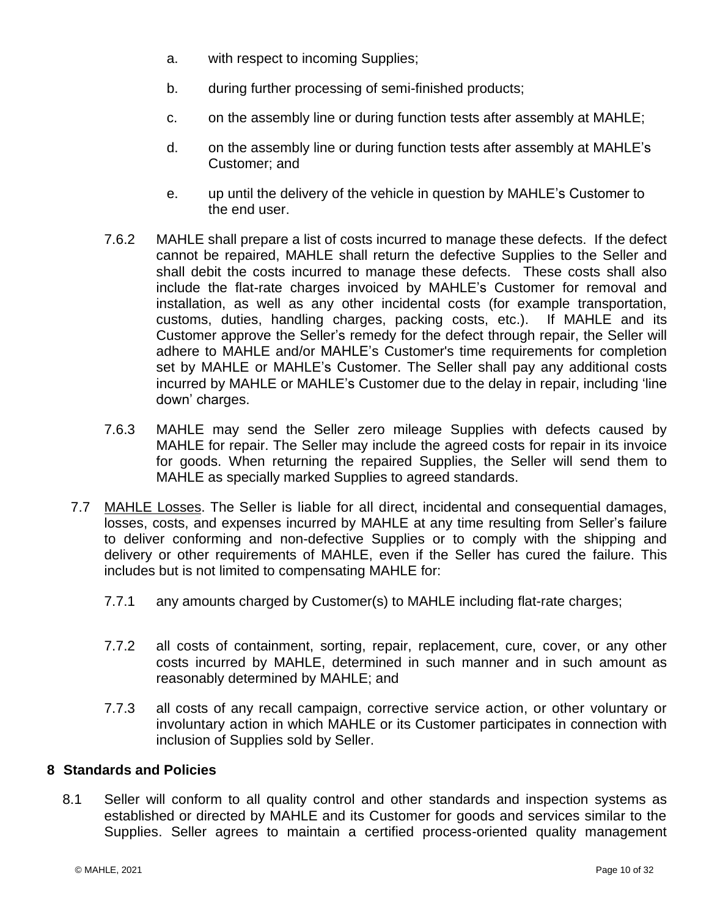- a. with respect to incoming Supplies;
- b. during further processing of semi-finished products;
- c. on the assembly line or during function tests after assembly at MAHLE;
- d. on the assembly line or during function tests after assembly at MAHLE's Customer; and
- e. up until the delivery of the vehicle in question by MAHLE's Customer to the end user.
- 7.6.2 MAHLE shall prepare a list of costs incurred to manage these defects. If the defect cannot be repaired, MAHLE shall return the defective Supplies to the Seller and shall debit the costs incurred to manage these defects. These costs shall also include the flat-rate charges invoiced by MAHLE's Customer for removal and installation, as well as any other incidental costs (for example transportation, customs, duties, handling charges, packing costs, etc.). If MAHLE and its Customer approve the Seller's remedy for the defect through repair, the Seller will adhere to MAHLE and/or MAHLE's Customer's time requirements for completion set by MAHLE or MAHLE's Customer. The Seller shall pay any additional costs incurred by MAHLE or MAHLE's Customer due to the delay in repair, including 'line down' charges.
- 7.6.3 MAHLE may send the Seller zero mileage Supplies with defects caused by MAHLE for repair. The Seller may include the agreed costs for repair in its invoice for goods. When returning the repaired Supplies, the Seller will send them to MAHLE as specially marked Supplies to agreed standards.
- 7.7 MAHLE Losses. The Seller is liable for all direct, incidental and consequential damages, losses, costs, and expenses incurred by MAHLE at any time resulting from Seller's failure to deliver conforming and non-defective Supplies or to comply with the shipping and delivery or other requirements of MAHLE, even if the Seller has cured the failure. This includes but is not limited to compensating MAHLE for:
	- 7.7.1 any amounts charged by Customer(s) to MAHLE including flat-rate charges;
	- 7.7.2 all costs of containment, sorting, repair, replacement, cure, cover, or any other costs incurred by MAHLE, determined in such manner and in such amount as reasonably determined by MAHLE; and
	- 7.7.3 all costs of any recall campaign, corrective service action, or other voluntary or involuntary action in which MAHLE or its Customer participates in connection with inclusion of Supplies sold by Seller.

## <span id="page-11-0"></span>**8 Standards and Policies**

8.1 Seller will conform to all quality control and other standards and inspection systems as established or directed by MAHLE and its Customer for goods and services similar to the Supplies. Seller agrees to maintain a certified process-oriented quality management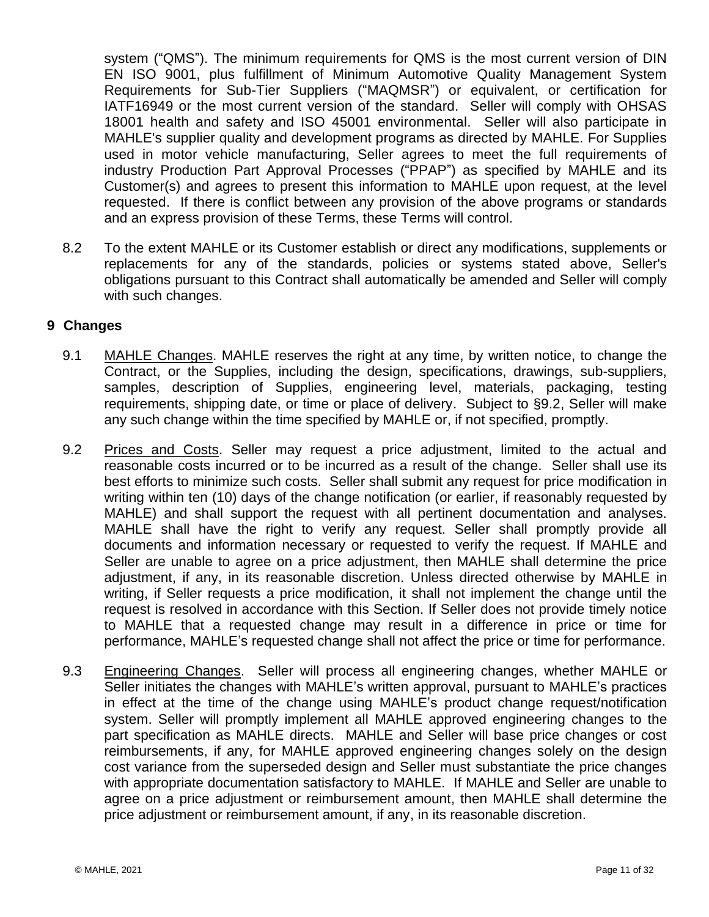system ("QMS"). The minimum requirements for QMS is the most current version of DIN EN ISO 9001, plus fulfillment of Minimum Automotive Quality Management System Requirements for Sub-Tier Suppliers ("MAQMSR") or equivalent, or certification for IATF16949 or the most current version of the standard. Seller will comply with OHSAS 18001 health and safety and ISO 45001 environmental. Seller will also participate in MAHLE's supplier quality and development programs as directed by MAHLE. For Supplies used in motor vehicle manufacturing, Seller agrees to meet the full requirements of industry Production Part Approval Processes ("PPAP") as specified by MAHLE and its Customer(s) and agrees to present this information to MAHLE upon request, at the level requested. If there is conflict between any provision of the above programs or standards and an express provision of these Terms, these Terms will control.

8.2 To the extent MAHLE or its Customer establish or direct any modifications, supplements or replacements for any of the standards, policies or systems stated above, Seller's obligations pursuant to this Contract shall automatically be amended and Seller will comply with such changes.

# <span id="page-12-0"></span>**9 Changes**

- 9.1 MAHLE Changes. MAHLE reserves the right at any time, by written notice, to change the Contract, or the Supplies, including the design, specifications, drawings, sub-suppliers, samples, description of Supplies, engineering level, materials, packaging, testing requirements, shipping date, or time or place of delivery. Subject to §9.2, Seller will make any such change within the time specified by MAHLE or, if not specified, promptly.
- 9.2 Prices and Costs. Seller may request a price adjustment, limited to the actual and reasonable costs incurred or to be incurred as a result of the change. Seller shall use its best efforts to minimize such costs. Seller shall submit any request for price modification in writing within ten (10) days of the change notification (or earlier, if reasonably requested by MAHLE) and shall support the request with all pertinent documentation and analyses. MAHLE shall have the right to verify any request. Seller shall promptly provide all documents and information necessary or requested to verify the request. If MAHLE and Seller are unable to agree on a price adjustment, then MAHLE shall determine the price adjustment, if any, in its reasonable discretion. Unless directed otherwise by MAHLE in writing, if Seller requests a price modification, it shall not implement the change until the request is resolved in accordance with this Section. If Seller does not provide timely notice to MAHLE that a requested change may result in a difference in price or time for performance, MAHLE's requested change shall not affect the price or time for performance.
- 9.3 Engineering Changes. Seller will process all engineering changes, whether MAHLE or Seller initiates the changes with MAHLE's written approval, pursuant to MAHLE's practices in effect at the time of the change using MAHLE's product change request/notification system. Seller will promptly implement all MAHLE approved engineering changes to the part specification as MAHLE directs. MAHLE and Seller will base price changes or cost reimbursements, if any, for MAHLE approved engineering changes solely on the design cost variance from the superseded design and Seller must substantiate the price changes with appropriate documentation satisfactory to MAHLE. If MAHLE and Seller are unable to agree on a price adjustment or reimbursement amount, then MAHLE shall determine the price adjustment or reimbursement amount, if any, in its reasonable discretion.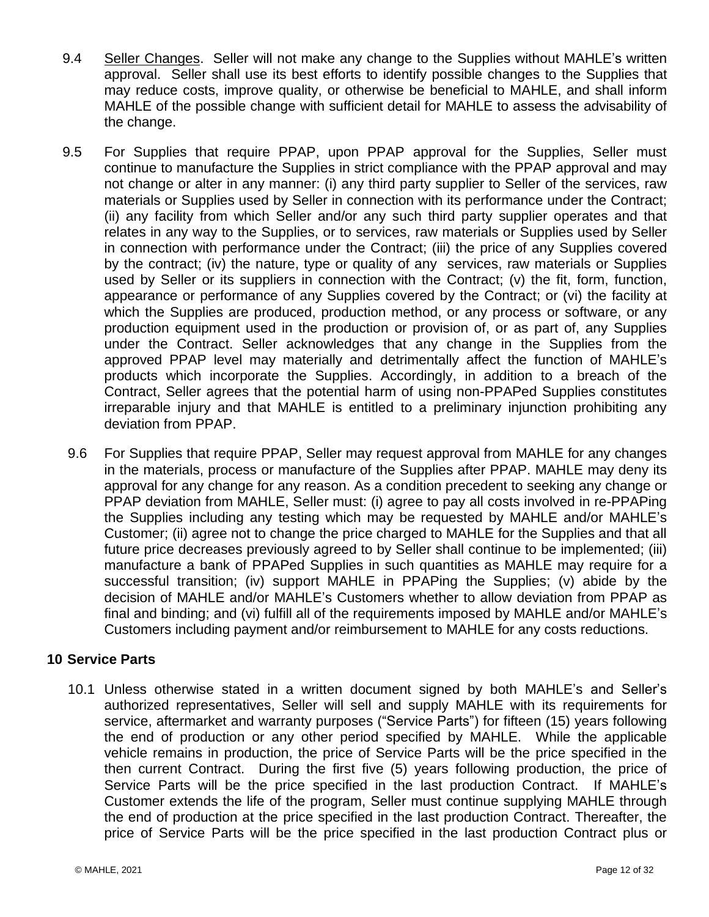- 9.4 Seller Changes. Seller will not make any change to the Supplies without MAHLE's written approval. Seller shall use its best efforts to identify possible changes to the Supplies that may reduce costs, improve quality, or otherwise be beneficial to MAHLE, and shall inform MAHLE of the possible change with sufficient detail for MAHLE to assess the advisability of the change.
- 9.5 For Supplies that require PPAP, upon PPAP approval for the Supplies, Seller must continue to manufacture the Supplies in strict compliance with the PPAP approval and may not change or alter in any manner: (i) any third party supplier to Seller of the services, raw materials or Supplies used by Seller in connection with its performance under the Contract; (ii) any facility from which Seller and/or any such third party supplier operates and that relates in any way to the Supplies, or to services, raw materials or Supplies used by Seller in connection with performance under the Contract; (iii) the price of any Supplies covered by the contract; (iv) the nature, type or quality of any services, raw materials or Supplies used by Seller or its suppliers in connection with the Contract; (v) the fit, form, function, appearance or performance of any Supplies covered by the Contract; or (vi) the facility at which the Supplies are produced, production method, or any process or software, or any production equipment used in the production or provision of, or as part of, any Supplies under the Contract. Seller acknowledges that any change in the Supplies from the approved PPAP level may materially and detrimentally affect the function of MAHLE's products which incorporate the Supplies. Accordingly, in addition to a breach of the Contract, Seller agrees that the potential harm of using non-PPAPed Supplies constitutes irreparable injury and that MAHLE is entitled to a preliminary injunction prohibiting any deviation from PPAP.
- 9.6 For Supplies that require PPAP, Seller may request approval from MAHLE for any changes in the materials, process or manufacture of the Supplies after PPAP. MAHLE may deny its approval for any change for any reason. As a condition precedent to seeking any change or PPAP deviation from MAHLE, Seller must: (i) agree to pay all costs involved in re-PPAPing the Supplies including any testing which may be requested by MAHLE and/or MAHLE's Customer; (ii) agree not to change the price charged to MAHLE for the Supplies and that all future price decreases previously agreed to by Seller shall continue to be implemented; (iii) manufacture a bank of PPAPed Supplies in such quantities as MAHLE may require for a successful transition; (iv) support MAHLE in PPAPing the Supplies; (v) abide by the decision of MAHLE and/or MAHLE's Customers whether to allow deviation from PPAP as final and binding; and (vi) fulfill all of the requirements imposed by MAHLE and/or MAHLE's Customers including payment and/or reimbursement to MAHLE for any costs reductions.

# <span id="page-13-0"></span>**10 Service Parts**

<span id="page-13-1"></span>10.1 Unless otherwise stated in a written document signed by both MAHLE's and Seller's authorized representatives, Seller will sell and supply MAHLE with its requirements for service, aftermarket and warranty purposes ("Service Parts") for fifteen (15) years following the end of production or any other period specified by MAHLE. While the applicable vehicle remains in production, the price of Service Parts will be the price specified in the then current Contract. During the first five (5) years following production, the price of Service Parts will be the price specified in the last production Contract. If MAHLE's Customer extends the life of the program, Seller must continue supplying MAHLE through the end of production at the price specified in the last production Contract. Thereafter, the price of Service Parts will be the price specified in the last production Contract plus or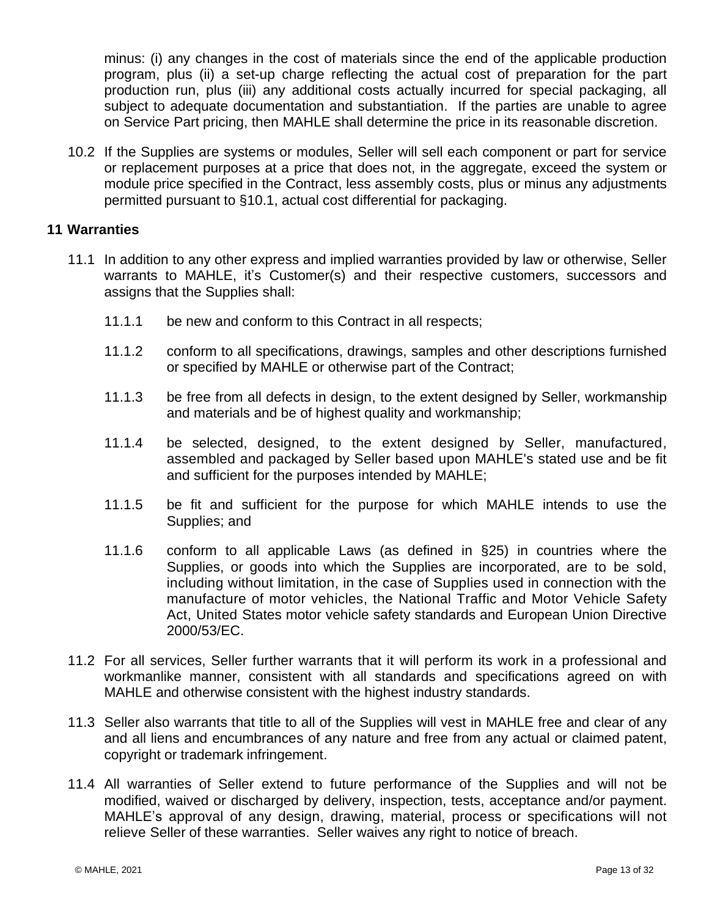minus: (i) any changes in the cost of materials since the end of the applicable production program, plus (ii) a set-up charge reflecting the actual cost of preparation for the part production run, plus (iii) any additional costs actually incurred for special packaging, all subject to adequate documentation and substantiation. If the parties are unable to agree on Service Part pricing, then MAHLE shall determine the price in its reasonable discretion.

10.2 If the Supplies are systems or modules, Seller will sell each component or part for service or replacement purposes at a price that does not, in the aggregate, exceed the system or module price specified in the Contract, less assembly costs, plus or minus any adjustments permitted pursuant to §10.1, actual cost differential for packaging.

# <span id="page-14-0"></span>**11 Warranties**

- 11.1 In addition to any other express and implied warranties provided by law or otherwise, Seller warrants to MAHLE, it's Customer(s) and their respective customers, successors and assigns that the Supplies shall:
	- 11.1.1 be new and conform to this Contract in all respects;
	- 11.1.2 conform to all specifications, drawings, samples and other descriptions furnished or specified by MAHLE or otherwise part of the Contract;
	- 11.1.3 be free from all defects in design, to the extent designed by Seller, workmanship and materials and be of highest quality and workmanship;
	- 11.1.4 be selected, designed, to the extent designed by Seller, manufactured, assembled and packaged by Seller based upon MAHLE's stated use and be fit and sufficient for the purposes intended by MAHLE;
	- 11.1.5 be fit and sufficient for the purpose for which MAHLE intends to use the Supplies; and
	- 11.1.6 conform to all applicable Laws (as defined in §25) in countries where the Supplies, or goods into which the Supplies are incorporated, are to be sold, including without limitation, in the case of Supplies used in connection with the manufacture of motor vehicles, the National Traffic and Motor Vehicle Safety Act, United States motor vehicle safety standards and European Union Directive 2000/53/EC.
- 11.2 For all services, Seller further warrants that it will perform its work in a professional and workmanlike manner, consistent with all standards and specifications agreed on with MAHLE and otherwise consistent with the highest industry standards.
- 11.3 Seller also warrants that title to all of the Supplies will vest in MAHLE free and clear of any and all liens and encumbrances of any nature and free from any actual or claimed patent, copyright or trademark infringement.
- 11.4 All warranties of Seller extend to future performance of the Supplies and will not be modified, waived or discharged by delivery, inspection, tests, acceptance and/or payment. MAHLE's approval of any design, drawing, material, process or specifications will not relieve Seller of these warranties. Seller waives any right to notice of breach.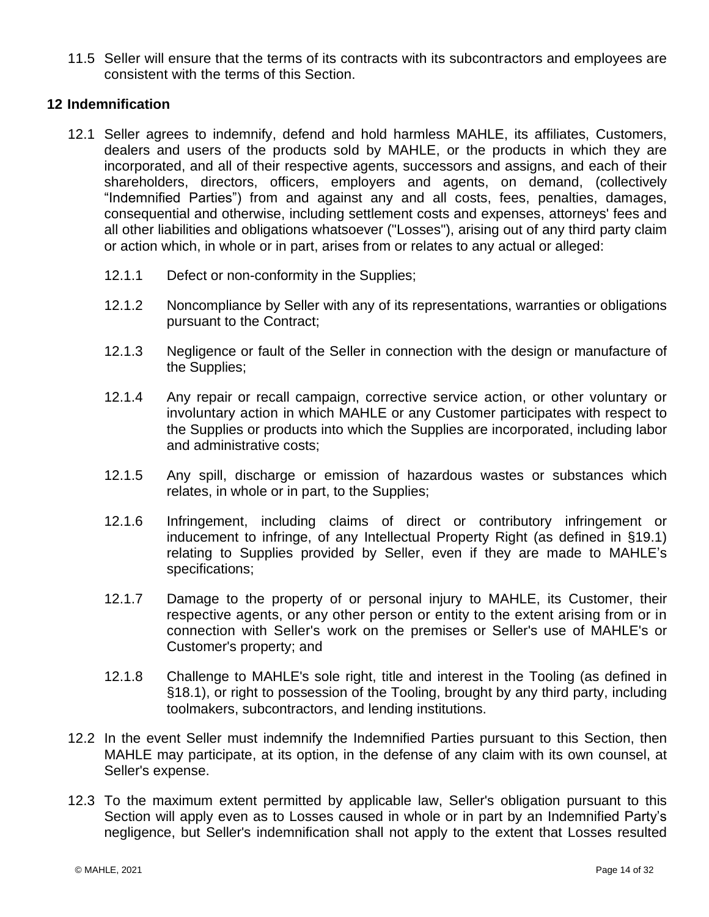11.5 Seller will ensure that the terms of its contracts with its subcontractors and employees are consistent with the terms of this Section.

# <span id="page-15-0"></span>**12 Indemnification**

- <span id="page-15-1"></span>12.1 Seller agrees to indemnify, defend and hold harmless MAHLE, its affiliates, Customers, dealers and users of the products sold by MAHLE, or the products in which they are incorporated, and all of their respective agents, successors and assigns, and each of their shareholders, directors, officers, employers and agents, on demand, (collectively "Indemnified Parties") from and against any and all costs, fees, penalties, damages, consequential and otherwise, including settlement costs and expenses, attorneys' fees and all other liabilities and obligations whatsoever ("Losses"), arising out of any third party claim or action which, in whole or in part, arises from or relates to any actual or alleged:
	- 12.1.1 Defect or non-conformity in the Supplies;
	- 12.1.2 Noncompliance by Seller with any of its representations, warranties or obligations pursuant to the Contract;
	- 12.1.3 Negligence or fault of the Seller in connection with the design or manufacture of the Supplies;
	- 12.1.4 Any repair or recall campaign, corrective service action, or other voluntary or involuntary action in which MAHLE or any Customer participates with respect to the Supplies or products into which the Supplies are incorporated, including labor and administrative costs;
	- 12.1.5 Any spill, discharge or emission of hazardous wastes or substances which relates, in whole or in part, to the Supplies;
	- 12.1.6 Infringement, including claims of direct or contributory infringement or inducement to infringe, of any Intellectual Property Right (as defined in §19.1) relating to Supplies provided by Seller, even if they are made to MAHLE's specifications;
	- 12.1.7 Damage to the property of or personal injury to MAHLE, its Customer, their respective agents, or any other person or entity to the extent arising from or in connection with Seller's work on the premises or Seller's use of MAHLE's or Customer's property; and
	- 12.1.8 Challenge to MAHLE's sole right, title and interest in the Tooling (as defined in §18.1), or right to possession of the Tooling, brought by any third party, including toolmakers, subcontractors, and lending institutions.
- 12.2 In the event Seller must indemnify the Indemnified Parties pursuant to this Section, then MAHLE may participate, at its option, in the defense of any claim with its own counsel, at Seller's expense.
- 12.3 To the maximum extent permitted by applicable law, Seller's obligation pursuant to this Section will apply even as to Losses caused in whole or in part by an Indemnified Party's negligence, but Seller's indemnification shall not apply to the extent that Losses resulted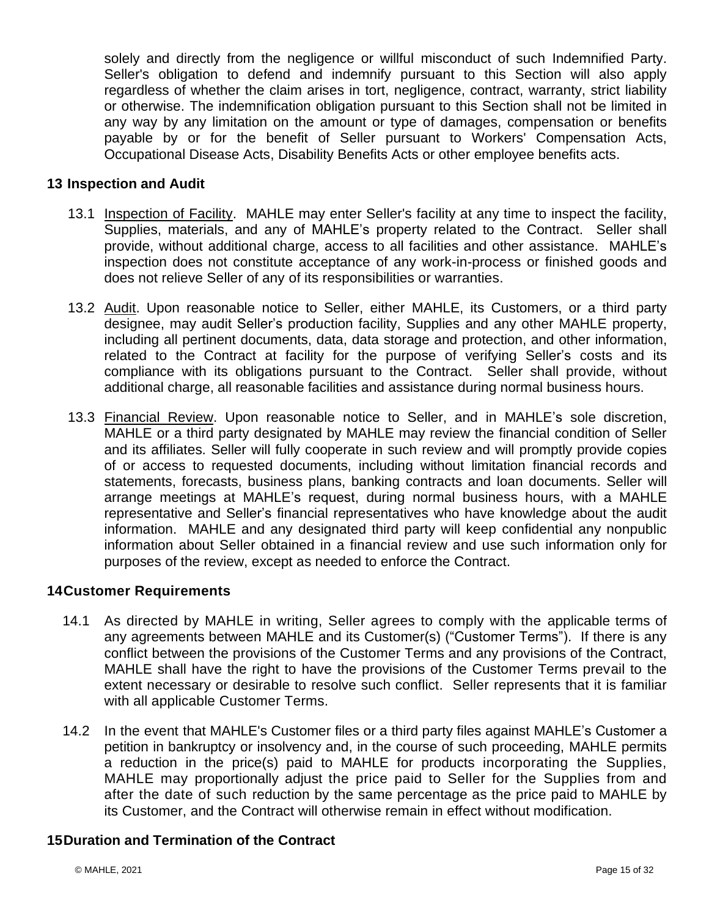solely and directly from the negligence or willful misconduct of such Indemnified Party. Seller's obligation to defend and indemnify pursuant to this Section will also apply regardless of whether the claim arises in tort, negligence, contract, warranty, strict liability or otherwise. The indemnification obligation pursuant to this Section shall not be limited in any way by any limitation on the amount or type of damages, compensation or benefits payable by or for the benefit of Seller pursuant to Workers' Compensation Acts, Occupational Disease Acts, Disability Benefits Acts or other employee benefits acts.

# <span id="page-16-0"></span>**13 Inspection and Audit**

- 13.1 Inspection of Facility. MAHLE may enter Seller's facility at any time to inspect the facility, Supplies, materials, and any of MAHLE's property related to the Contract. Seller shall provide, without additional charge, access to all facilities and other assistance. MAHLE's inspection does not constitute acceptance of any work-in-process or finished goods and does not relieve Seller of any of its responsibilities or warranties.
- 13.2 Audit. Upon reasonable notice to Seller, either MAHLE, its Customers, or a third party designee, may audit Seller's production facility, Supplies and any other MAHLE property, including all pertinent documents, data, data storage and protection, and other information, related to the Contract at facility for the purpose of verifying Seller's costs and its compliance with its obligations pursuant to the Contract. Seller shall provide, without additional charge, all reasonable facilities and assistance during normal business hours.
- 13.3 Financial Review. Upon reasonable notice to Seller, and in MAHLE's sole discretion, MAHLE or a third party designated by MAHLE may review the financial condition of Seller and its affiliates. Seller will fully cooperate in such review and will promptly provide copies of or access to requested documents, including without limitation financial records and statements, forecasts, business plans, banking contracts and loan documents. Seller will arrange meetings at MAHLE's request, during normal business hours, with a MAHLE representative and Seller's financial representatives who have knowledge about the audit information. MAHLE and any designated third party will keep confidential any nonpublic information about Seller obtained in a financial review and use such information only for purposes of the review, except as needed to enforce the Contract.

# <span id="page-16-1"></span>**14Customer Requirements**

- 14.1 As directed by MAHLE in writing, Seller agrees to comply with the applicable terms of any agreements between MAHLE and its Customer(s) ("Customer Terms"). If there is any conflict between the provisions of the Customer Terms and any provisions of the Contract, MAHLE shall have the right to have the provisions of the Customer Terms prevail to the extent necessary or desirable to resolve such conflict. Seller represents that it is familiar with all applicable Customer Terms.
- 14.2 In the event that MAHLE's Customer files or a third party files against MAHLE's Customer a petition in bankruptcy or insolvency and, in the course of such proceeding, MAHLE permits a reduction in the price(s) paid to MAHLE for products incorporating the Supplies, MAHLE may proportionally adjust the price paid to Seller for the Supplies from and after the date of such reduction by the same percentage as the price paid to MAHLE by its Customer, and the Contract will otherwise remain in effect without modification.

## <span id="page-16-2"></span>**15Duration and Termination of the Contract**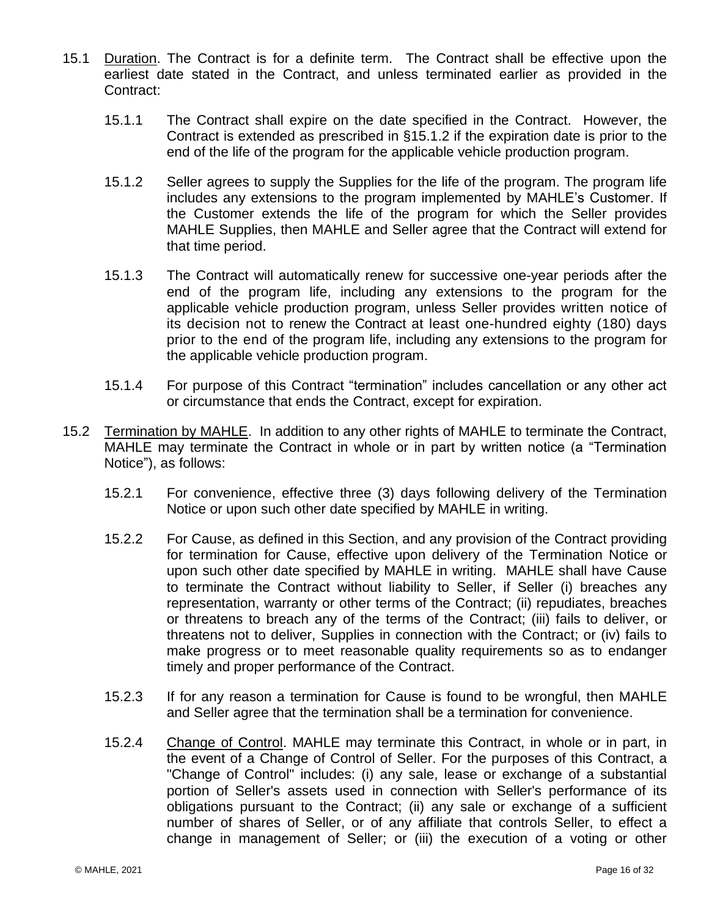- <span id="page-17-2"></span><span id="page-17-0"></span>15.1 Duration. The Contract is for a definite term. The Contract shall be effective upon the earliest date stated in the Contract, and unless terminated earlier as provided in the Contract:
	- 15.1.1 The Contract shall expire on the date specified in the Contract. However, the Contract is extended as prescribed in [§15.1.2](#page-17-2) if the expiration date is prior to the end of the life of the program for the applicable vehicle production program.
	- 15.1.2 Seller agrees to supply the Supplies for the life of the program. The program life includes any extensions to the program implemented by MAHLE's Customer. If the Customer extends the life of the program for which the Seller provides MAHLE Supplies, then MAHLE and Seller agree that the Contract will extend for that time period.
	- 15.1.3 The Contract will automatically renew for successive one-year periods after the end of the program life, including any extensions to the program for the applicable vehicle production program, unless Seller provides written notice of its decision not to renew the Contract at least one-hundred eighty (180) days prior to the end of the program life, including any extensions to the program for the applicable vehicle production program.
	- 15.1.4 For purpose of this Contract "termination" includes cancellation or any other act or circumstance that ends the Contract, except for expiration.
- <span id="page-17-1"></span>15.2 Termination by MAHLE. In addition to any other rights of MAHLE to terminate the Contract, MAHLE may terminate the Contract in whole or in part by written notice (a "Termination Notice"), as follows:
	- 15.2.1 For convenience, effective three (3) days following delivery of the Termination Notice or upon such other date specified by MAHLE in writing.
	- 15.2.2 For Cause, as defined in this Section, and any provision of the Contract providing for termination for Cause, effective upon delivery of the Termination Notice or upon such other date specified by MAHLE in writing. MAHLE shall have Cause to terminate the Contract without liability to Seller, if Seller (i) breaches any representation, warranty or other terms of the Contract; (ii) repudiates, breaches or threatens to breach any of the terms of the Contract; (iii) fails to deliver, or threatens not to deliver, Supplies in connection with the Contract; or (iv) fails to make progress or to meet reasonable quality requirements so as to endanger timely and proper performance of the Contract.
	- 15.2.3 If for any reason a termination for Cause is found to be wrongful, then MAHLE and Seller agree that the termination shall be a termination for convenience.
	- 15.2.4 Change of Control. MAHLE may terminate this Contract, in whole or in part, in the event of a Change of Control of Seller. For the purposes of this Contract, a "Change of Control" includes: (i) any sale, lease or exchange of a substantial portion of Seller's assets used in connection with Seller's performance of its obligations pursuant to the Contract; (ii) any sale or exchange of a sufficient number of shares of Seller, or of any affiliate that controls Seller, to effect a change in management of Seller; or (iii) the execution of a voting or other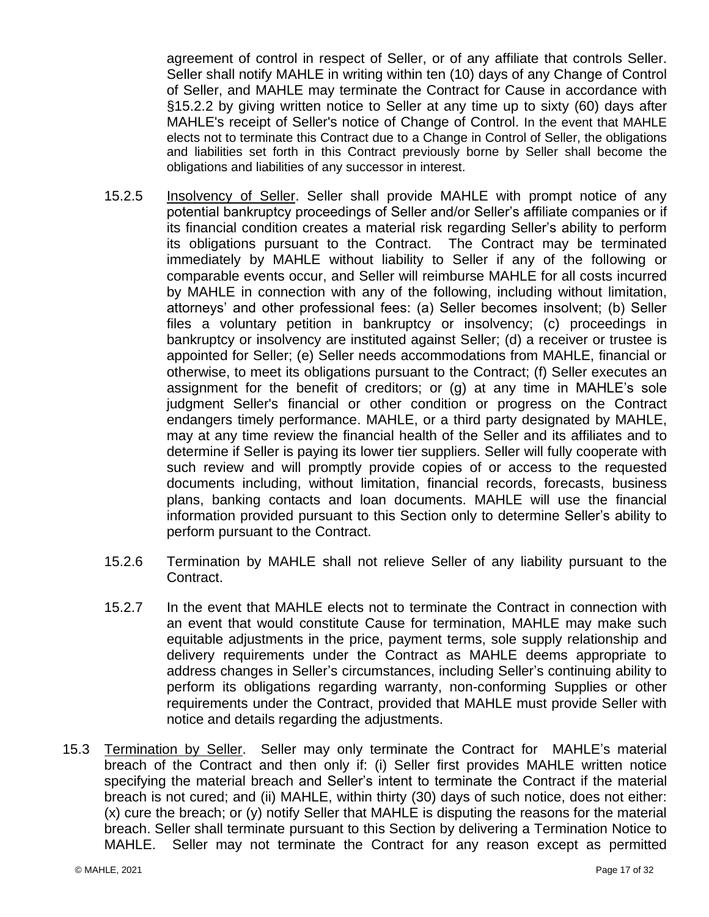agreement of control in respect of Seller, or of any affiliate that controls Seller. Seller shall notify MAHLE in writing within ten (10) days of any Change of Control of Seller, and MAHLE may terminate the Contract for Cause in accordance with §15.2.2 by giving written notice to Seller at any time up to sixty (60) days after MAHLE's receipt of Seller's notice of Change of Control. In the event that MAHLE elects not to terminate this Contract due to a Change in Control of Seller, the obligations and liabilities set forth in this Contract previously borne by Seller shall become the obligations and liabilities of any successor in interest.

- 15.2.5 Insolvency of Seller. Seller shall provide MAHLE with prompt notice of any potential bankruptcy proceedings of Seller and/or Seller's affiliate companies or if its financial condition creates a material risk regarding Seller's ability to perform its obligations pursuant to the Contract. The Contract may be terminated immediately by MAHLE without liability to Seller if any of the following or comparable events occur, and Seller will reimburse MAHLE for all costs incurred by MAHLE in connection with any of the following, including without limitation, attorneys' and other professional fees: (a) Seller becomes insolvent; (b) Seller files a voluntary petition in bankruptcy or insolvency; (c) proceedings in bankruptcy or insolvency are instituted against Seller; (d) a receiver or trustee is appointed for Seller; (e) Seller needs accommodations from MAHLE, financial or otherwise, to meet its obligations pursuant to the Contract; (f) Seller executes an assignment for the benefit of creditors; or (g) at any time in MAHLE's sole judgment Seller's financial or other condition or progress on the Contract endangers timely performance. MAHLE, or a third party designated by MAHLE, may at any time review the financial health of the Seller and its affiliates and to determine if Seller is paying its lower tier suppliers. Seller will fully cooperate with such review and will promptly provide copies of or access to the requested documents including, without limitation, financial records, forecasts, business plans, banking contacts and loan documents. MAHLE will use the financial information provided pursuant to this Section only to determine Seller's ability to perform pursuant to the Contract.
- 15.2.6 Termination by MAHLE shall not relieve Seller of any liability pursuant to the Contract.
- 15.2.7 In the event that MAHLE elects not to terminate the Contract in connection with an event that would constitute Cause for termination, MAHLE may make such equitable adjustments in the price, payment terms, sole supply relationship and delivery requirements under the Contract as MAHLE deems appropriate to address changes in Seller's circumstances, including Seller's continuing ability to perform its obligations regarding warranty, non-conforming Supplies or other requirements under the Contract, provided that MAHLE must provide Seller with notice and details regarding the adjustments.
- 15.3 Termination by Seller. Seller may only terminate the Contract for MAHLE's material breach of the Contract and then only if: (i) Seller first provides MAHLE written notice specifying the material breach and Seller's intent to terminate the Contract if the material breach is not cured; and (ii) MAHLE, within thirty (30) days of such notice, does not either: (x) cure the breach; or (y) notify Seller that MAHLE is disputing the reasons for the material breach. Seller shall terminate pursuant to this Section by delivering a Termination Notice to MAHLE. Seller may not terminate the Contract for any reason except as permitted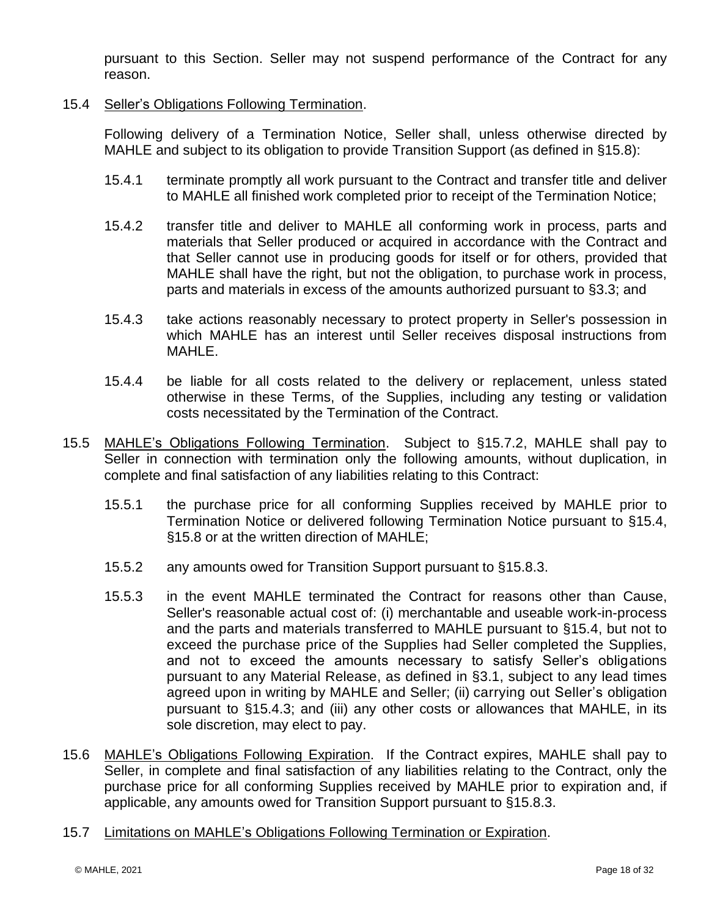pursuant to this Section. Seller may not suspend performance of the Contract for any reason.

# <span id="page-19-0"></span>15.4 Seller's Obligations Following Termination.

Following delivery of a Termination Notice, Seller shall, unless otherwise directed by MAHLE and subject to its obligation to provide Transition Support (as defined in §15.8):

- 15.4.1 terminate promptly all work pursuant to the Contract and transfer title and deliver to MAHLE all finished work completed prior to receipt of the Termination Notice;
- 15.4.2 transfer title and deliver to MAHLE all conforming work in process, parts and materials that Seller produced or acquired in accordance with the Contract and that Seller cannot use in producing goods for itself or for others, provided that MAHLE shall have the right, but not the obligation, to purchase work in process, parts and materials in excess of the amounts authorized pursuant to §3.3; and
- <span id="page-19-1"></span>15.4.3 take actions reasonably necessary to protect property in Seller's possession in which MAHLE has an interest until Seller receives disposal instructions from MAHLE.
- 15.4.4 be liable for all costs related to the delivery or replacement, unless stated otherwise in these Terms, of the Supplies, including any testing or validation costs necessitated by the Termination of the Contract.
- 15.5 MAHLE's Obligations Following Termination. Subject to §15.7.2, MAHLE shall pay to Seller in connection with termination only the following amounts, without duplication, in complete and final satisfaction of any liabilities relating to this Contract:
	- 15.5.1 the purchase price for all conforming Supplies received by MAHLE prior to Termination Notice or delivered following Termination Notice pursuant to [§15.4,](#page-19-0) §15.8 or at the written direction of MAHLE;
	- 15.5.2 any amounts owed for Transition Support pursuant to §15.8.3.
	- 15.5.3 in the event MAHLE terminated the Contract for reasons other than Cause, Seller's reasonable actual cost of: (i) merchantable and useable work-in-process and the parts and materials transferred to MAHLE pursuant to §15.4, but not to exceed the purchase price of the Supplies had Seller completed the Supplies, and not to exceed the amounts necessary to satisfy Seller's obligations pursuant to any Material Release, as defined in §3.1, subject to any lead times agreed upon in writing by MAHLE and Seller; (ii) carrying out Seller's obligation pursuant to [§15.4.3;](#page-19-1) and (iii) any other costs or allowances that MAHLE, in its sole discretion, may elect to pay.
- 15.6 MAHLE's Obligations Following Expiration. If the Contract expires, MAHLE shall pay to Seller, in complete and final satisfaction of any liabilities relating to the Contract, only the purchase price for all conforming Supplies received by MAHLE prior to expiration and, if applicable, any amounts owed for Transition Support pursuant to §15.8.3.
- 15.7 Limitations on MAHLE's Obligations Following Termination or Expiration.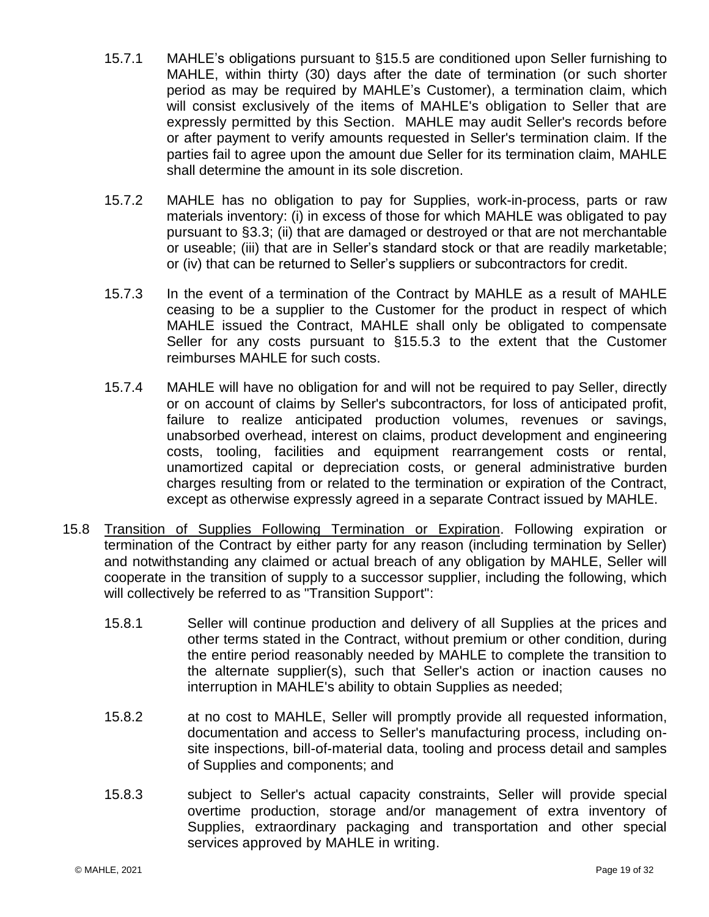- 15.7.1 MAHLE's obligations pursuant to §15.5 are conditioned upon Seller furnishing to MAHLE, within thirty (30) days after the date of termination (or such shorter period as may be required by MAHLE's Customer), a termination claim, which will consist exclusively of the items of MAHLE's obligation to Seller that are expressly permitted by this Section. MAHLE may audit Seller's records before or after payment to verify amounts requested in Seller's termination claim. If the parties fail to agree upon the amount due Seller for its termination claim, MAHLE shall determine the amount in its sole discretion.
- 15.7.2 MAHLE has no obligation to pay for Supplies, work-in-process, parts or raw materials inventory: (i) in excess of those for which MAHLE was obligated to pay pursuant to [§3.3;](#page-3-2) (ii) that are damaged or destroyed or that are not merchantable or useable; (iii) that are in Seller's standard stock or that are readily marketable; or (iv) that can be returned to Seller's suppliers or subcontractors for credit.
- 15.7.3 In the event of a termination of the Contract by MAHLE as a result of MAHLE ceasing to be a supplier to the Customer for the product in respect of which MAHLE issued the Contract, MAHLE shall only be obligated to compensate Seller for any costs pursuant to §15.5.3 to the extent that the Customer reimburses MAHLE for such costs.
- 15.7.4 MAHLE will have no obligation for and will not be required to pay Seller, directly or on account of claims by Seller's subcontractors, for loss of anticipated profit, failure to realize anticipated production volumes, revenues or savings, unabsorbed overhead, interest on claims, product development and engineering costs, tooling, facilities and equipment rearrangement costs or rental, unamortized capital or depreciation costs, or general administrative burden charges resulting from or related to the termination or expiration of the Contract, except as otherwise expressly agreed in a separate Contract issued by MAHLE.
- 15.8 Transition of Supplies Following Termination or Expiration. Following expiration or termination of the Contract by either party for any reason (including termination by Seller) and notwithstanding any claimed or actual breach of any obligation by MAHLE, Seller will cooperate in the transition of supply to a successor supplier, including the following, which will collectively be referred to as "Transition Support":
	- 15.8.1 Seller will continue production and delivery of all Supplies at the prices and other terms stated in the Contract, without premium or other condition, during the entire period reasonably needed by MAHLE to complete the transition to the alternate supplier(s), such that Seller's action or inaction causes no interruption in MAHLE's ability to obtain Supplies as needed;
	- 15.8.2 at no cost to MAHLE, Seller will promptly provide all requested information, documentation and access to Seller's manufacturing process, including onsite inspections, bill-of-material data, tooling and process detail and samples of Supplies and components; and
	- 15.8.3 subject to Seller's actual capacity constraints, Seller will provide special overtime production, storage and/or management of extra inventory of Supplies, extraordinary packaging and transportation and other special services approved by MAHLE in writing.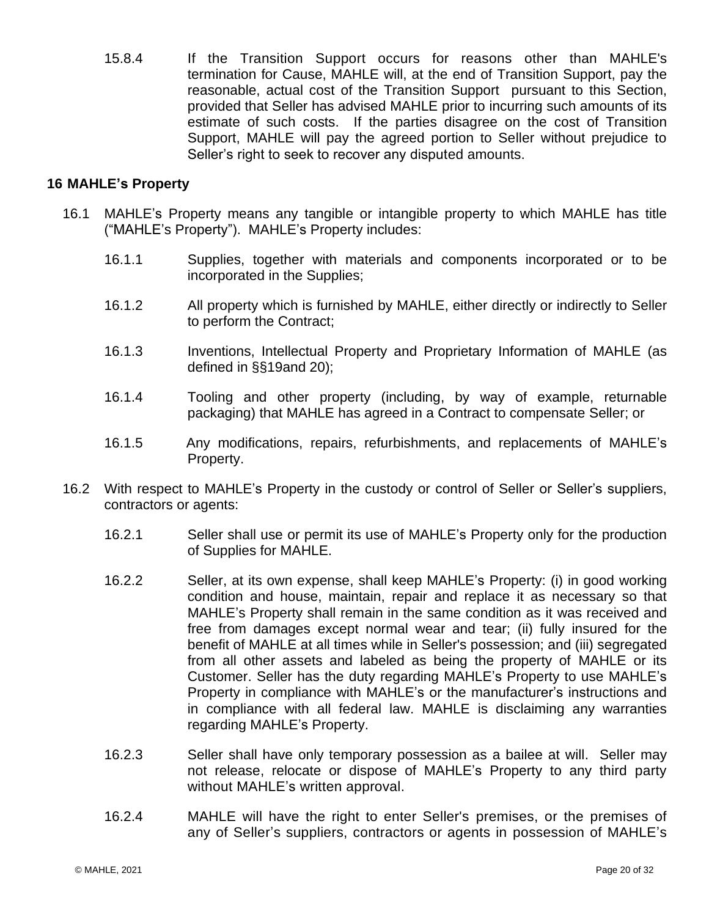15.8.4 If the Transition Support occurs for reasons other than MAHLE's termination for Cause, MAHLE will, at the end of Transition Support, pay the reasonable, actual cost of the Transition Support pursuant to this Section, provided that Seller has advised MAHLE prior to incurring such amounts of its estimate of such costs. If the parties disagree on the cost of Transition Support, MAHLE will pay the agreed portion to Seller without prejudice to Seller's right to seek to recover any disputed amounts.

## <span id="page-21-0"></span>**16 MAHLE's Property**

- 16.1 MAHLE's Property means any tangible or intangible property to which MAHLE has title ("MAHLE's Property"). MAHLE's Property includes:
	- 16.1.1 Supplies, together with materials and components incorporated or to be incorporated in the Supplies;
	- 16.1.2 All property which is furnished by MAHLE, either directly or indirectly to Seller to perform the Contract;
	- 16.1.3 Inventions, Intellectual Property and Proprietary Information of MAHLE (as defined in §[§19a](#page-24-0)nd 20);
	- 16.1.4 Tooling and other property (including, by way of example, returnable packaging) that MAHLE has agreed in a Contract to compensate Seller; or
	- 16.1.5 Any modifications, repairs, refurbishments, and replacements of MAHLE's Property.
- 16.2 With respect to MAHLE's Property in the custody or control of Seller or Seller's suppliers, contractors or agents:
	- 16.2.1 Seller shall use or permit its use of MAHLE's Property only for the production of Supplies for MAHLE.
	- 16.2.2 Seller, at its own expense, shall keep MAHLE's Property: (i) in good working condition and house, maintain, repair and replace it as necessary so that MAHLE's Property shall remain in the same condition as it was received and free from damages except normal wear and tear; (ii) fully insured for the benefit of MAHLE at all times while in Seller's possession; and (iii) segregated from all other assets and labeled as being the property of MAHLE or its Customer. Seller has the duty regarding MAHLE's Property to use MAHLE's Property in compliance with MAHLE's or the manufacturer's instructions and in compliance with all federal law. MAHLE is disclaiming any warranties regarding MAHLE's Property.
	- 16.2.3 Seller shall have only temporary possession as a bailee at will. Seller may not release, relocate or dispose of MAHLE's Property to any third party without MAHLE's written approval.
	- 16.2.4 MAHLE will have the right to enter Seller's premises, or the premises of any of Seller's suppliers, contractors or agents in possession of MAHLE's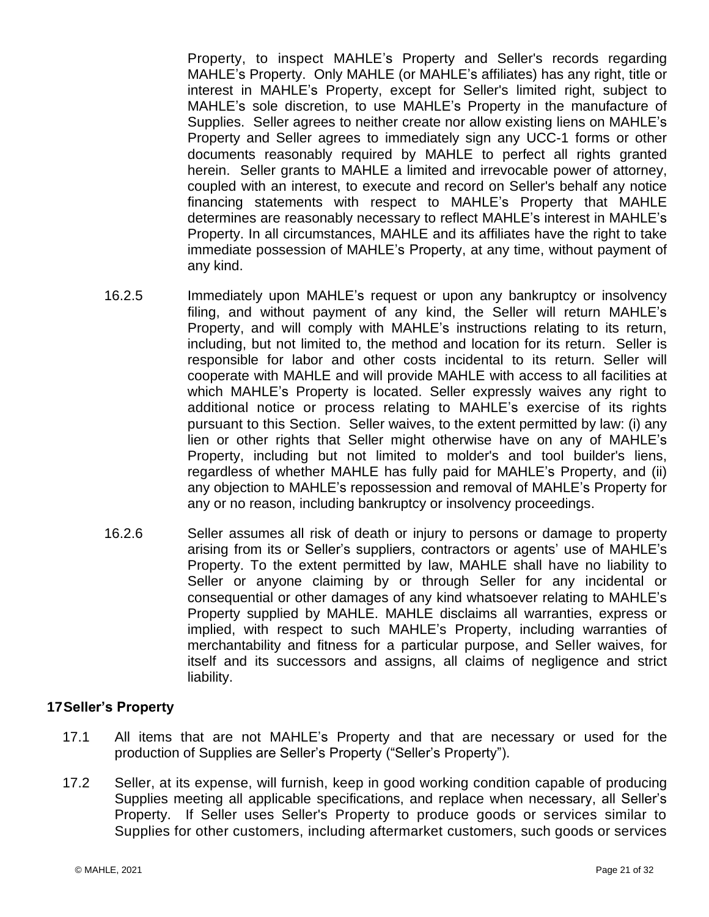Property, to inspect MAHLE's Property and Seller's records regarding MAHLE's Property. Only MAHLE (or MAHLE's affiliates) has any right, title or interest in MAHLE's Property, except for Seller's limited right, subject to MAHLE's sole discretion, to use MAHLE's Property in the manufacture of Supplies. Seller agrees to neither create nor allow existing liens on MAHLE's Property and Seller agrees to immediately sign any UCC-1 forms or other documents reasonably required by MAHLE to perfect all rights granted herein. Seller grants to MAHLE a limited and irrevocable power of attorney, coupled with an interest, to execute and record on Seller's behalf any notice financing statements with respect to MAHLE's Property that MAHLE determines are reasonably necessary to reflect MAHLE's interest in MAHLE's Property. In all circumstances, MAHLE and its affiliates have the right to take immediate possession of MAHLE's Property, at any time, without payment of any kind.

- 16.2.5 Immediately upon MAHLE's request or upon any bankruptcy or insolvency filing, and without payment of any kind, the Seller will return MAHLE's Property, and will comply with MAHLE's instructions relating to its return, including, but not limited to, the method and location for its return. Seller is responsible for labor and other costs incidental to its return. Seller will cooperate with MAHLE and will provide MAHLE with access to all facilities at which MAHLE's Property is located. Seller expressly waives any right to additional notice or process relating to MAHLE's exercise of its rights pursuant to this Section. Seller waives, to the extent permitted by law: (i) any lien or other rights that Seller might otherwise have on any of MAHLE's Property, including but not limited to molder's and tool builder's liens, regardless of whether MAHLE has fully paid for MAHLE's Property, and (ii) any objection to MAHLE's repossession and removal of MAHLE's Property for any or no reason, including bankruptcy or insolvency proceedings.
- 16.2.6 Seller assumes all risk of death or injury to persons or damage to property arising from its or Seller's suppliers, contractors or agents' use of MAHLE's Property. To the extent permitted by law, MAHLE shall have no liability to Seller or anyone claiming by or through Seller for any incidental or consequential or other damages of any kind whatsoever relating to MAHLE's Property supplied by MAHLE. MAHLE disclaims all warranties, express or implied, with respect to such MAHLE's Property, including warranties of merchantability and fitness for a particular purpose, and Seller waives, for itself and its successors and assigns, all claims of negligence and strict liability.

## <span id="page-22-0"></span>**17Seller's Property**

- 17.1 All items that are not MAHLE's Property and that are necessary or used for the production of Supplies are Seller's Property ("Seller's Property").
- 17.2 Seller, at its expense, will furnish, keep in good working condition capable of producing Supplies meeting all applicable specifications, and replace when necessary, all Seller's Property. If Seller uses Seller's Property to produce goods or services similar to Supplies for other customers, including aftermarket customers, such goods or services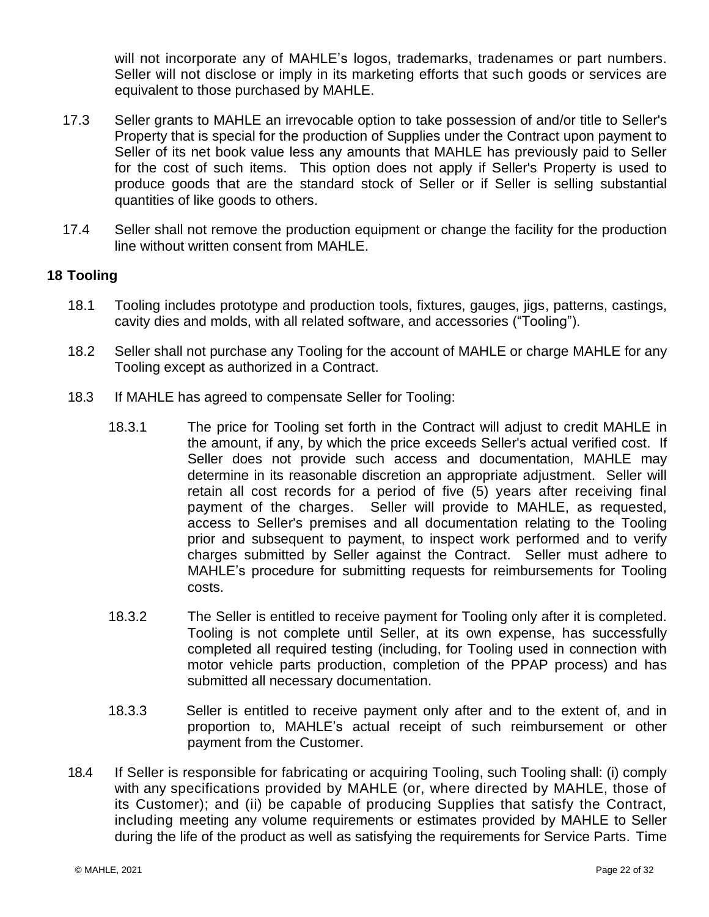will not incorporate any of MAHLE's logos, trademarks, tradenames or part numbers. Seller will not disclose or imply in its marketing efforts that such goods or services are equivalent to those purchased by MAHLE.

- 17.3 Seller grants to MAHLE an irrevocable option to take possession of and/or title to Seller's Property that is special for the production of Supplies under the Contract upon payment to Seller of its net book value less any amounts that MAHLE has previously paid to Seller for the cost of such items. This option does not apply if Seller's Property is used to produce goods that are the standard stock of Seller or if Seller is selling substantial quantities of like goods to others.
- 17.4 Seller shall not remove the production equipment or change the facility for the production line without written consent from MAHLE.

# <span id="page-23-0"></span>**18 Tooling**

- 18.1 Tooling includes prototype and production tools, fixtures, gauges, jigs, patterns, castings, cavity dies and molds, with all related software, and accessories ("Tooling").
- 18.2 Seller shall not purchase any Tooling for the account of MAHLE or charge MAHLE for any Tooling except as authorized in a Contract.
- 18.3 If MAHLE has agreed to compensate Seller for Tooling:
	- 18.3.1 The price for Tooling set forth in the Contract will adjust to credit MAHLE in the amount, if any, by which the price exceeds Seller's actual verified cost. If Seller does not provide such access and documentation, MAHLE may determine in its reasonable discretion an appropriate adjustment. Seller will retain all cost records for a period of five (5) years after receiving final payment of the charges. Seller will provide to MAHLE, as requested, access to Seller's premises and all documentation relating to the Tooling prior and subsequent to payment, to inspect work performed and to verify charges submitted by Seller against the Contract. Seller must adhere to MAHLE's procedure for submitting requests for reimbursements for Tooling costs.
	- 18.3.2 The Seller is entitled to receive payment for Tooling only after it is completed. Tooling is not complete until Seller, at its own expense, has successfully completed all required testing (including, for Tooling used in connection with motor vehicle parts production, completion of the PPAP process) and has submitted all necessary documentation.
	- 18.3.3 Seller is entitled to receive payment only after and to the extent of, and in proportion to, MAHLE's actual receipt of such reimbursement or other payment from the Customer.
- 18.4 If Seller is responsible for fabricating or acquiring Tooling, such Tooling shall: (i) comply with any specifications provided by MAHLE (or, where directed by MAHLE, those of its Customer); and (ii) be capable of producing Supplies that satisfy the Contract, including meeting any volume requirements or estimates provided by MAHLE to Seller during the life of the product as well as satisfying the requirements for Service Parts. Time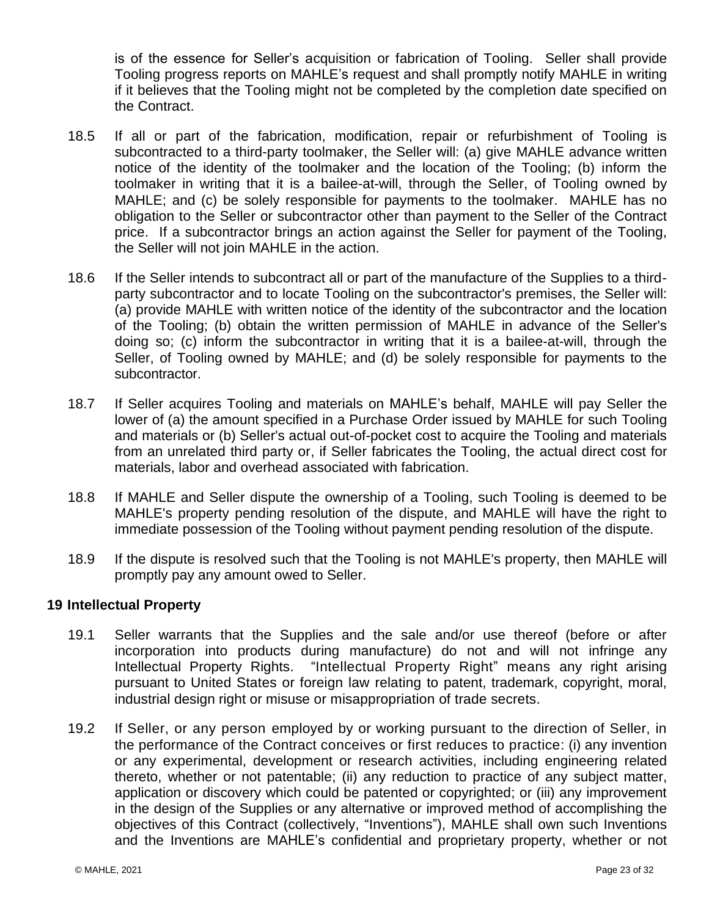is of the essence for Seller's acquisition or fabrication of Tooling. Seller shall provide Tooling progress reports on MAHLE's request and shall promptly notify MAHLE in writing if it believes that the Tooling might not be completed by the completion date specified on the Contract.

- 18.5 If all or part of the fabrication, modification, repair or refurbishment of Tooling is subcontracted to a third-party toolmaker, the Seller will: (a) give MAHLE advance written notice of the identity of the toolmaker and the location of the Tooling; (b) inform the toolmaker in writing that it is a bailee-at-will, through the Seller, of Tooling owned by MAHLE; and (c) be solely responsible for payments to the toolmaker. MAHLE has no obligation to the Seller or subcontractor other than payment to the Seller of the Contract price. If a subcontractor brings an action against the Seller for payment of the Tooling, the Seller will not join MAHLE in the action.
- 18.6 If the Seller intends to subcontract all or part of the manufacture of the Supplies to a thirdparty subcontractor and to locate Tooling on the subcontractor's premises, the Seller will: (a) provide MAHLE with written notice of the identity of the subcontractor and the location of the Tooling; (b) obtain the written permission of MAHLE in advance of the Seller's doing so; (c) inform the subcontractor in writing that it is a bailee-at-will, through the Seller, of Tooling owned by MAHLE; and (d) be solely responsible for payments to the subcontractor.
- 18.7 If Seller acquires Tooling and materials on MAHLE's behalf, MAHLE will pay Seller the lower of (a) the amount specified in a Purchase Order issued by MAHLE for such Tooling and materials or (b) Seller's actual out-of-pocket cost to acquire the Tooling and materials from an unrelated third party or, if Seller fabricates the Tooling, the actual direct cost for materials, labor and overhead associated with fabrication.
- 18.8 If MAHLE and Seller dispute the ownership of a Tooling, such Tooling is deemed to be MAHLE's property pending resolution of the dispute, and MAHLE will have the right to immediate possession of the Tooling without payment pending resolution of the dispute.
- 18.9 If the dispute is resolved such that the Tooling is not MAHLE's property, then MAHLE will promptly pay any amount owed to Seller.

## <span id="page-24-0"></span>**19 Intellectual Property**

- 19.1 Seller warrants that the Supplies and the sale and/or use thereof (before or after incorporation into products during manufacture) do not and will not infringe any Intellectual Property Rights. "Intellectual Property Right" means any right arising pursuant to United States or foreign law relating to patent, trademark, copyright, moral, industrial design right or misuse or misappropriation of trade secrets.
- 19.2 If Seller, or any person employed by or working pursuant to the direction of Seller, in the performance of the Contract conceives or first reduces to practice: (i) any invention or any experimental, development or research activities, including engineering related thereto, whether or not patentable; (ii) any reduction to practice of any subject matter, application or discovery which could be patented or copyrighted; or (iii) any improvement in the design of the Supplies or any alternative or improved method of accomplishing the objectives of this Contract (collectively, "Inventions"), MAHLE shall own such Inventions and the Inventions are MAHLE's confidential and proprietary property, whether or not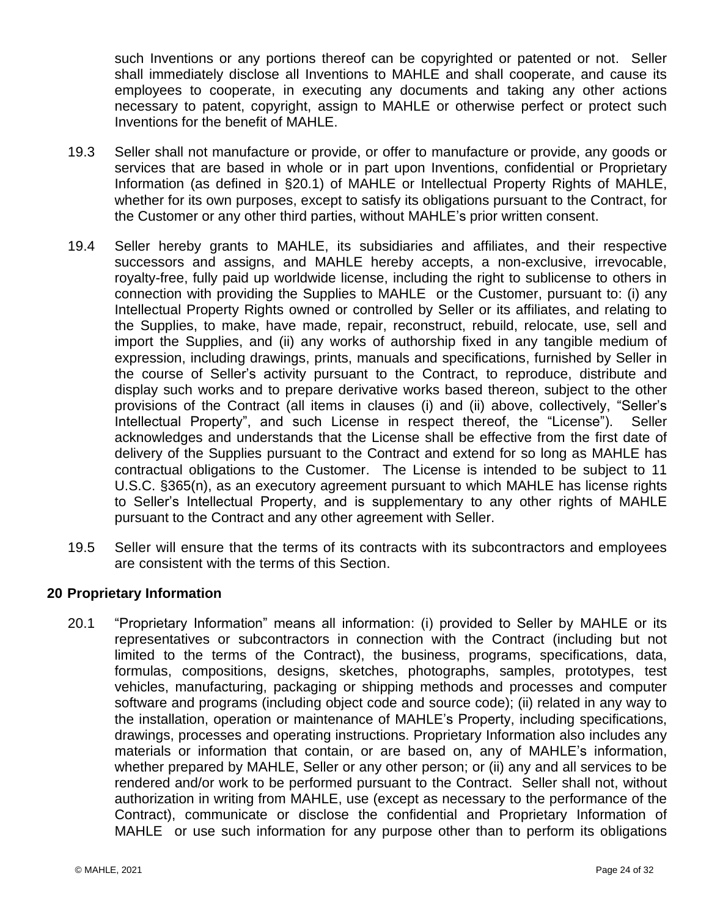such Inventions or any portions thereof can be copyrighted or patented or not. Seller shall immediately disclose all Inventions to MAHLE and shall cooperate, and cause its employees to cooperate, in executing any documents and taking any other actions necessary to patent, copyright, assign to MAHLE or otherwise perfect or protect such Inventions for the benefit of MAHLE.

- 19.3 Seller shall not manufacture or provide, or offer to manufacture or provide, any goods or services that are based in whole or in part upon Inventions, confidential or Proprietary Information (as defined in [§20.1\)](#page-25-1) of MAHLE or Intellectual Property Rights of MAHLE, whether for its own purposes, except to satisfy its obligations pursuant to the Contract, for the Customer or any other third parties, without MAHLE's prior written consent.
- 19.4 Seller hereby grants to MAHLE, its subsidiaries and affiliates, and their respective successors and assigns, and MAHLE hereby accepts, a non-exclusive, irrevocable, royalty-free, fully paid up worldwide license, including the right to sublicense to others in connection with providing the Supplies to MAHLE or the Customer, pursuant to: (i) any Intellectual Property Rights owned or controlled by Seller or its affiliates, and relating to the Supplies, to make, have made, repair, reconstruct, rebuild, relocate, use, sell and import the Supplies, and (ii) any works of authorship fixed in any tangible medium of expression, including drawings, prints, manuals and specifications, furnished by Seller in the course of Seller's activity pursuant to the Contract, to reproduce, distribute and display such works and to prepare derivative works based thereon, subject to the other provisions of the Contract (all items in clauses (i) and (ii) above, collectively, "Seller's Intellectual Property", and such License in respect thereof, the "License"). Seller acknowledges and understands that the License shall be effective from the first date of delivery of the Supplies pursuant to the Contract and extend for so long as MAHLE has contractual obligations to the Customer. The License is intended to be subject to 11 U.S.C. §365(n), as an executory agreement pursuant to which MAHLE has license rights to Seller's Intellectual Property, and is supplementary to any other rights of MAHLE pursuant to the Contract and any other agreement with Seller.
- 19.5 Seller will ensure that the terms of its contracts with its subcontractors and employees are consistent with the terms of this Section.

## <span id="page-25-0"></span>**20 Proprietary Information**

<span id="page-25-1"></span>20.1 "Proprietary Information" means all information: (i) provided to Seller by MAHLE or its representatives or subcontractors in connection with the Contract (including but not limited to the terms of the Contract), the business, programs, specifications, data, formulas, compositions, designs, sketches, photographs, samples, prototypes, test vehicles, manufacturing, packaging or shipping methods and processes and computer software and programs (including object code and source code); (ii) related in any way to the installation, operation or maintenance of MAHLE's Property, including specifications, drawings, processes and operating instructions. Proprietary Information also includes any materials or information that contain, or are based on, any of MAHLE's information, whether prepared by MAHLE, Seller or any other person; or (ii) any and all services to be rendered and/or work to be performed pursuant to the Contract. Seller shall not, without authorization in writing from MAHLE, use (except as necessary to the performance of the Contract), communicate or disclose the confidential and Proprietary Information of MAHLE or use such information for any purpose other than to perform its obligations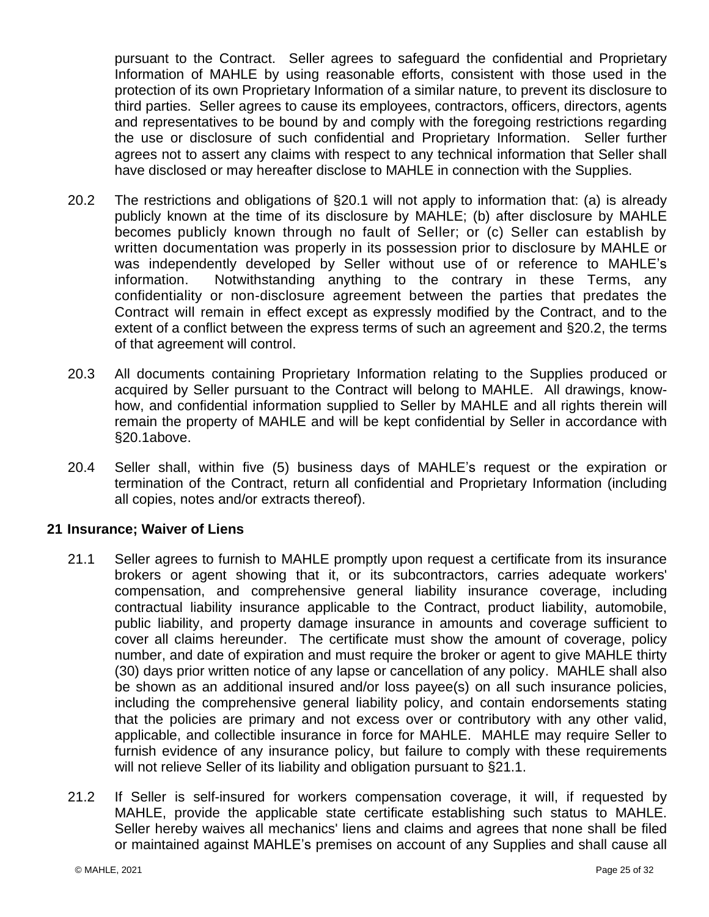pursuant to the Contract. Seller agrees to safeguard the confidential and Proprietary Information of MAHLE by using reasonable efforts, consistent with those used in the protection of its own Proprietary Information of a similar nature, to prevent its disclosure to third parties. Seller agrees to cause its employees, contractors, officers, directors, agents and representatives to be bound by and comply with the foregoing restrictions regarding the use or disclosure of such confidential and Proprietary Information. Seller further agrees not to assert any claims with respect to any technical information that Seller shall have disclosed or may hereafter disclose to MAHLE in connection with the Supplies.

- <span id="page-26-1"></span>20.2 The restrictions and obligations of [§20.1](#page-25-1) will not apply to information that: (a) is already publicly known at the time of its disclosure by MAHLE; (b) after disclosure by MAHLE becomes publicly known through no fault of Seller; or (c) Seller can establish by written documentation was properly in its possession prior to disclosure by MAHLE or was independently developed by Seller without use of or reference to MAHLE's information. Notwithstanding anything to the contrary in these Terms, any confidentiality or non-disclosure agreement between the parties that predates the Contract will remain in effect except as expressly modified by the Contract, and to the extent of a conflict between the express terms of such an agreement and [§20.2,](#page-26-1) the terms of that agreement will control.
- 20.3 All documents containing Proprietary Information relating to the Supplies produced or acquired by Seller pursuant to the Contract will belong to MAHLE. All drawings, knowhow, and confidential information supplied to Seller by MAHLE and all rights therein will remain the property of MAHLE and will be kept confidential by Seller in accordance with [§20.1a](#page-25-1)bove.
- 20.4 Seller shall, within five (5) business days of MAHLE's request or the expiration or termination of the Contract, return all confidential and Proprietary Information (including all copies, notes and/or extracts thereof).

# <span id="page-26-0"></span>**21 Insurance; Waiver of Liens**

- <span id="page-26-2"></span>21.1 Seller agrees to furnish to MAHLE promptly upon request a certificate from its insurance brokers or agent showing that it, or its subcontractors, carries adequate workers' compensation, and comprehensive general liability insurance coverage, including contractual liability insurance applicable to the Contract, product liability, automobile, public liability, and property damage insurance in amounts and coverage sufficient to cover all claims hereunder. The certificate must show the amount of coverage, policy number, and date of expiration and must require the broker or agent to give MAHLE thirty (30) days prior written notice of any lapse or cancellation of any policy. MAHLE shall also be shown as an additional insured and/or loss payee(s) on all such insurance policies, including the comprehensive general liability policy, and contain endorsements stating that the policies are primary and not excess over or contributory with any other valid, applicable, and collectible insurance in force for MAHLE. MAHLE may require Seller to furnish evidence of any insurance policy, but failure to comply with these requirements will not relieve Seller of its liability and obligation pursuant to [§21.1.](#page-26-2)
- 21.2 If Seller is self-insured for workers compensation coverage, it will, if requested by MAHLE, provide the applicable state certificate establishing such status to MAHLE. Seller hereby waives all mechanics' liens and claims and agrees that none shall be filed or maintained against MAHLE's premises on account of any Supplies and shall cause all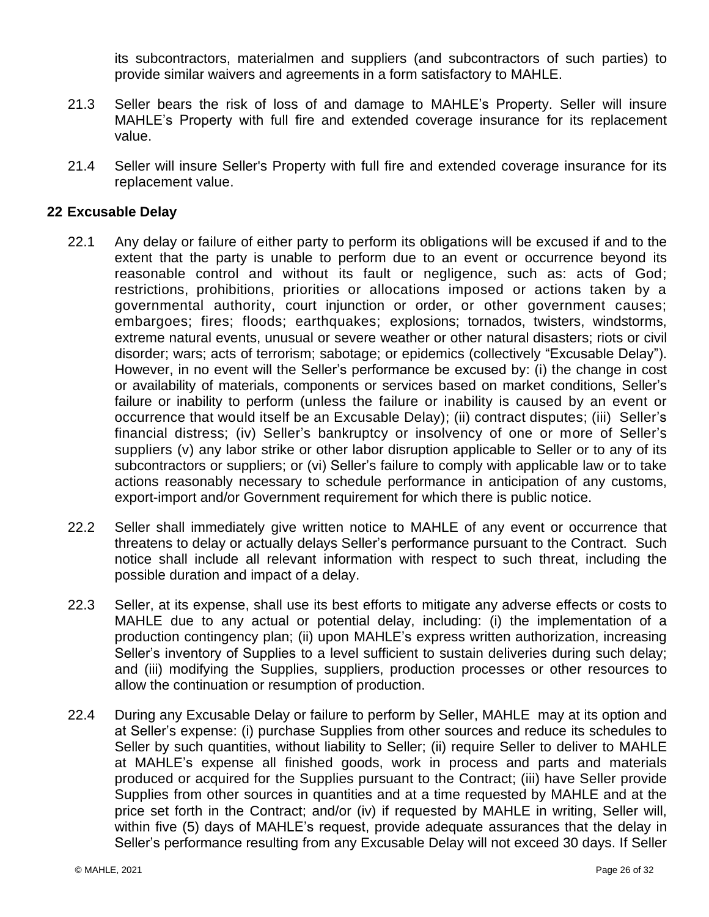its subcontractors, materialmen and suppliers (and subcontractors of such parties) to provide similar waivers and agreements in a form satisfactory to MAHLE.

- 21.3 Seller bears the risk of loss of and damage to MAHLE's Property. Seller will insure MAHLE's Property with full fire and extended coverage insurance for its replacement value.
- 21.4 Seller will insure Seller's Property with full fire and extended coverage insurance for its replacement value.

# <span id="page-27-0"></span>**22 Excusable Delay**

- 22.1 Any delay or failure of either party to perform its obligations will be excused if and to the extent that the party is unable to perform due to an event or occurrence beyond its reasonable control and without its fault or negligence, such as: acts of God; restrictions, prohibitions, priorities or allocations imposed or actions taken by a governmental authority, court injunction or order, or other government causes; embargoes; fires; floods; earthquakes; explosions; tornados, twisters, windstorms, extreme natural events, unusual or severe weather or other natural disasters; riots or civil disorder; wars; acts of terrorism; sabotage; or epidemics (collectively "Excusable Delay"). However, in no event will the Seller's performance be excused by: (i) the change in cost or availability of materials, components or services based on market conditions, Seller's failure or inability to perform (unless the failure or inability is caused by an event or occurrence that would itself be an Excusable Delay); (ii) contract disputes; (iii) Seller's financial distress; (iv) Seller's bankruptcy or insolvency of one or more of Seller's suppliers (v) any labor strike or other labor disruption applicable to Seller or to any of its subcontractors or suppliers; or (vi) Seller's failure to comply with applicable law or to take actions reasonably necessary to schedule performance in anticipation of any customs, export-import and/or Government requirement for which there is public notice.
- 22.2 Seller shall immediately give written notice to MAHLE of any event or occurrence that threatens to delay or actually delays Seller's performance pursuant to the Contract. Such notice shall include all relevant information with respect to such threat, including the possible duration and impact of a delay.
- 22.3 Seller, at its expense, shall use its best efforts to mitigate any adverse effects or costs to MAHLE due to any actual or potential delay, including: (i) the implementation of a production contingency plan; (ii) upon MAHLE's express written authorization, increasing Seller's inventory of Supplies to a level sufficient to sustain deliveries during such delay; and (iii) modifying the Supplies, suppliers, production processes or other resources to allow the continuation or resumption of production.
- 22.4 During any Excusable Delay or failure to perform by Seller, MAHLE may at its option and at Seller's expense: (i) purchase Supplies from other sources and reduce its schedules to Seller by such quantities, without liability to Seller; (ii) require Seller to deliver to MAHLE at MAHLE's expense all finished goods, work in process and parts and materials produced or acquired for the Supplies pursuant to the Contract; (iii) have Seller provide Supplies from other sources in quantities and at a time requested by MAHLE and at the price set forth in the Contract; and/or (iv) if requested by MAHLE in writing, Seller will, within five (5) days of MAHLE's request, provide adequate assurances that the delay in Seller's performance resulting from any Excusable Delay will not exceed 30 days. If Seller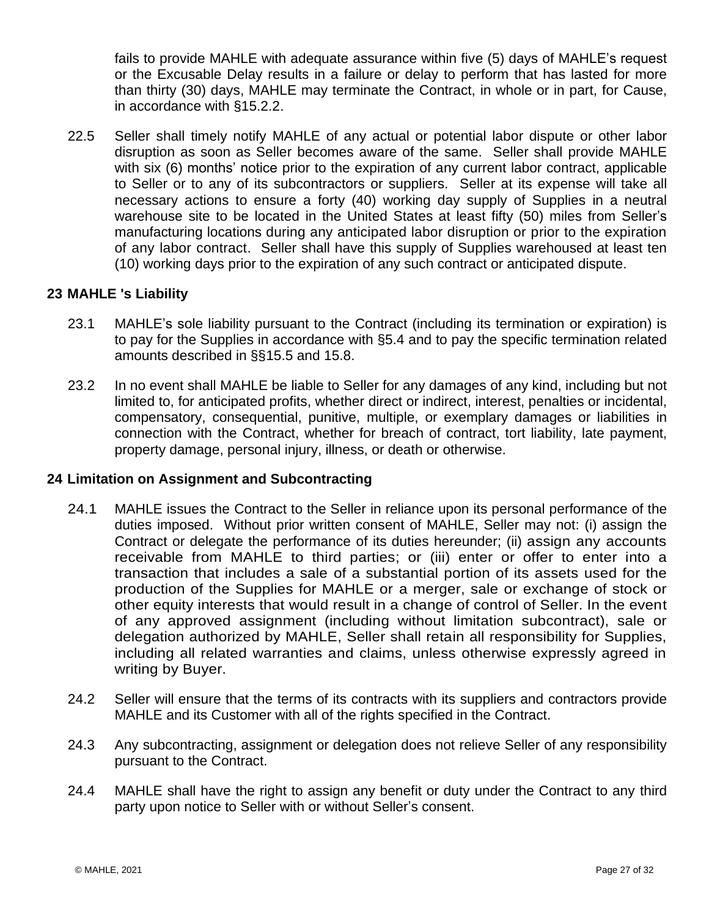fails to provide MAHLE with adequate assurance within five (5) days of MAHLE's request or the Excusable Delay results in a failure or delay to perform that has lasted for more than thirty (30) days, MAHLE may terminate the Contract, in whole or in part, for Cause, in accordance with §15.2.2.

22.5 Seller shall timely notify MAHLE of any actual or potential labor dispute or other labor disruption as soon as Seller becomes aware of the same. Seller shall provide MAHLE with six (6) months' notice prior to the expiration of any current labor contract, applicable to Seller or to any of its subcontractors or suppliers. Seller at its expense will take all necessary actions to ensure a forty (40) working day supply of Supplies in a neutral warehouse site to be located in the United States at least fifty (50) miles from Seller's manufacturing locations during any anticipated labor disruption or prior to the expiration of any labor contract. Seller shall have this supply of Supplies warehoused at least ten (10) working days prior to the expiration of any such contract or anticipated dispute.

# <span id="page-28-0"></span>**23 MAHLE 's Liability**

- 23.1 MAHLE's sole liability pursuant to the Contract (including its termination or expiration) is to pay for the Supplies in accordance with [§5.4](#page-7-2) and to pay the specific termination related amounts described in §§15.5 and 15.8.
- 23.2 In no event shall MAHLE be liable to Seller for any damages of any kind, including but not limited to, for anticipated profits, whether direct or indirect, interest, penalties or incidental, compensatory, consequential, punitive, multiple, or exemplary damages or liabilities in connection with the Contract, whether for breach of contract, tort liability, late payment, property damage, personal injury, illness, or death or otherwise.

## <span id="page-28-1"></span>**24 Limitation on Assignment and Subcontracting**

- 24.1 MAHLE issues the Contract to the Seller in reliance upon its personal performance of the duties imposed. Without prior written consent of MAHLE, Seller may not: (i) assign the Contract or delegate the performance of its duties hereunder; (ii) assign any accounts receivable from MAHLE to third parties; or (iii) enter or offer to enter into a transaction that includes a sale of a substantial portion of its assets used for the production of the Supplies for MAHLE or a merger, sale or exchange of stock or other equity interests that would result in a change of control of Seller. In the event of any approved assignment (including without limitation subcontract), sale or delegation authorized by MAHLE, Seller shall retain all responsibility for Supplies, including all related warranties and claims, unless otherwise expressly agreed in writing by Buyer.
- 24.2 Seller will ensure that the terms of its contracts with its suppliers and contractors provide MAHLE and its Customer with all of the rights specified in the Contract.
- 24.3 Any subcontracting, assignment or delegation does not relieve Seller of any responsibility pursuant to the Contract.
- 24.4 MAHLE shall have the right to assign any benefit or duty under the Contract to any third party upon notice to Seller with or without Seller's consent.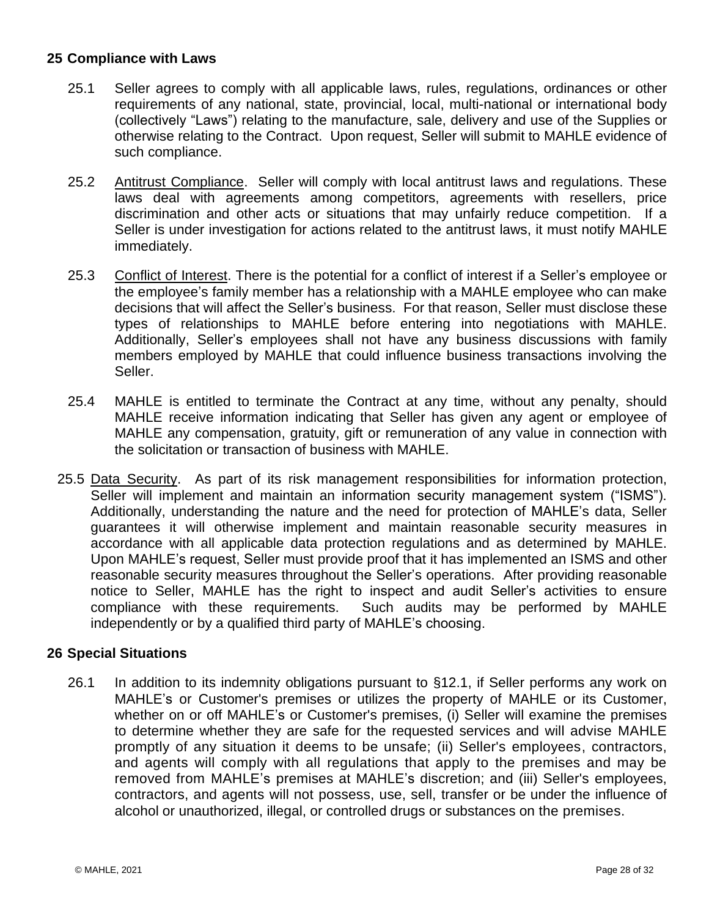# <span id="page-29-0"></span>**25 Compliance with Laws**

- 25.1 Seller agrees to comply with all applicable laws, rules, regulations, ordinances or other requirements of any national, state, provincial, local, multi-national or international body (collectively "Laws") relating to the manufacture, sale, delivery and use of the Supplies or otherwise relating to the Contract. Upon request, Seller will submit to MAHLE evidence of such compliance.
- 25.2 Antitrust Compliance. Seller will comply with local antitrust laws and regulations. These laws deal with agreements among competitors, agreements with resellers, price discrimination and other acts or situations that may unfairly reduce competition. If a Seller is under investigation for actions related to the antitrust laws, it must notify MAHLE immediately.
- 25.3 Conflict of Interest. There is the potential for a conflict of interest if a Seller's employee or the employee's family member has a relationship with a MAHLE employee who can make decisions that will affect the Seller's business. For that reason, Seller must disclose these types of relationships to MAHLE before entering into negotiations with MAHLE. Additionally, Seller's employees shall not have any business discussions with family members employed by MAHLE that could influence business transactions involving the Seller.
- 25.4 MAHLE is entitled to terminate the Contract at any time, without any penalty, should MAHLE receive information indicating that Seller has given any agent or employee of MAHLE any compensation, gratuity, gift or remuneration of any value in connection with the solicitation or transaction of business with MAHLE.
- 25.5 Data Security. As part of its risk management responsibilities for information protection, Seller will implement and maintain an information security management system ("ISMS"). Additionally, understanding the nature and the need for protection of MAHLE's data, Seller guarantees it will otherwise implement and maintain reasonable security measures in accordance with all applicable data protection regulations and as determined by MAHLE. Upon MAHLE's request, Seller must provide proof that it has implemented an ISMS and other reasonable security measures throughout the Seller's operations. After providing reasonable notice to Seller, MAHLE has the right to inspect and audit Seller's activities to ensure compliance with these requirements. Such audits may be performed by MAHLE independently or by a qualified third party of MAHLE's choosing.

# <span id="page-29-1"></span>**26 Special Situations**

26.1 In addition to its indemnity obligations pursuant to [§12.1,](#page-15-1) if Seller performs any work on MAHLE's or Customer's premises or utilizes the property of MAHLE or its Customer, whether on or off MAHLE's or Customer's premises, (i) Seller will examine the premises to determine whether they are safe for the requested services and will advise MAHLE promptly of any situation it deems to be unsafe; (ii) Seller's employees, contractors, and agents will comply with all regulations that apply to the premises and may be removed from MAHLE's premises at MAHLE's discretion; and (iii) Seller's employees, contractors, and agents will not possess, use, sell, transfer or be under the influence of alcohol or unauthorized, illegal, or controlled drugs or substances on the premises.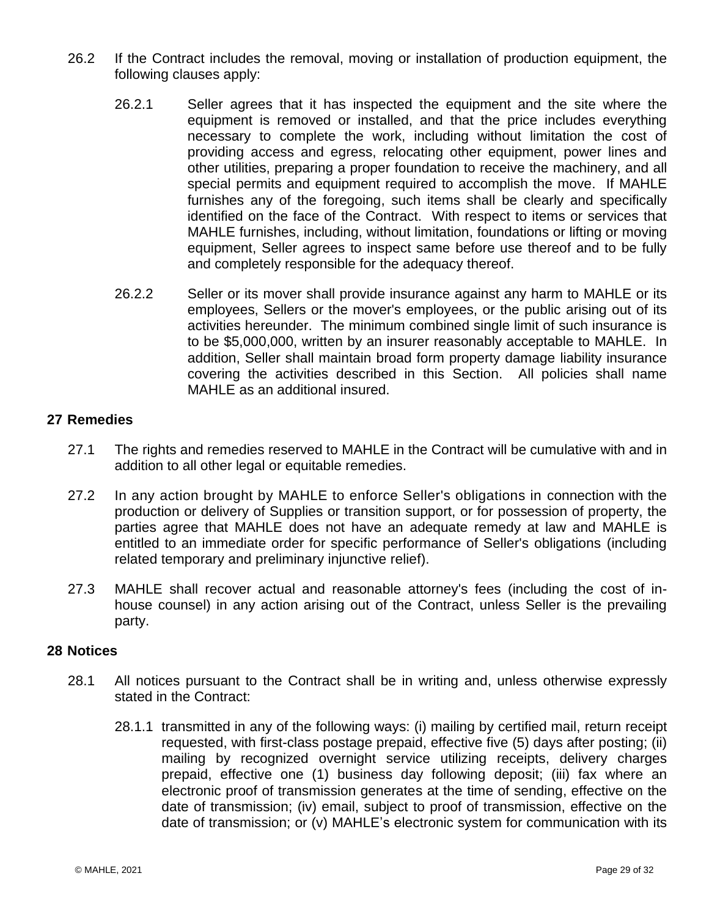- 26.2 If the Contract includes the removal, moving or installation of production equipment, the following clauses apply:
	- 26.2.1 Seller agrees that it has inspected the equipment and the site where the equipment is removed or installed, and that the price includes everything necessary to complete the work, including without limitation the cost of providing access and egress, relocating other equipment, power lines and other utilities, preparing a proper foundation to receive the machinery, and all special permits and equipment required to accomplish the move. If MAHLE furnishes any of the foregoing, such items shall be clearly and specifically identified on the face of the Contract. With respect to items or services that MAHLE furnishes, including, without limitation, foundations or lifting or moving equipment, Seller agrees to inspect same before use thereof and to be fully and completely responsible for the adequacy thereof.
	- 26.2.2 Seller or its mover shall provide insurance against any harm to MAHLE or its employees, Sellers or the mover's employees, or the public arising out of its activities hereunder. The minimum combined single limit of such insurance is to be \$5,000,000, written by an insurer reasonably acceptable to MAHLE. In addition, Seller shall maintain broad form property damage liability insurance covering the activities described in this Section. All policies shall name MAHLE as an additional insured.

## <span id="page-30-0"></span>**27 Remedies**

- 27.1 The rights and remedies reserved to MAHLE in the Contract will be cumulative with and in addition to all other legal or equitable remedies.
- 27.2 In any action brought by MAHLE to enforce Seller's obligations in connection with the production or delivery of Supplies or transition support, or for possession of property, the parties agree that MAHLE does not have an adequate remedy at law and MAHLE is entitled to an immediate order for specific performance of Seller's obligations (including related temporary and preliminary injunctive relief).
- 27.3 MAHLE shall recover actual and reasonable attorney's fees (including the cost of inhouse counsel) in any action arising out of the Contract, unless Seller is the prevailing party.

## <span id="page-30-1"></span>**28 Notices**

- 28.1 All notices pursuant to the Contract shall be in writing and, unless otherwise expressly stated in the Contract:
	- 28.1.1 transmitted in any of the following ways: (i) mailing by certified mail, return receipt requested, with first-class postage prepaid, effective five (5) days after posting; (ii) mailing by recognized overnight service utilizing receipts, delivery charges prepaid, effective one (1) business day following deposit; (iii) fax where an electronic proof of transmission generates at the time of sending, effective on the date of transmission; (iv) email, subject to proof of transmission, effective on the date of transmission; or (v) MAHLE's electronic system for communication with its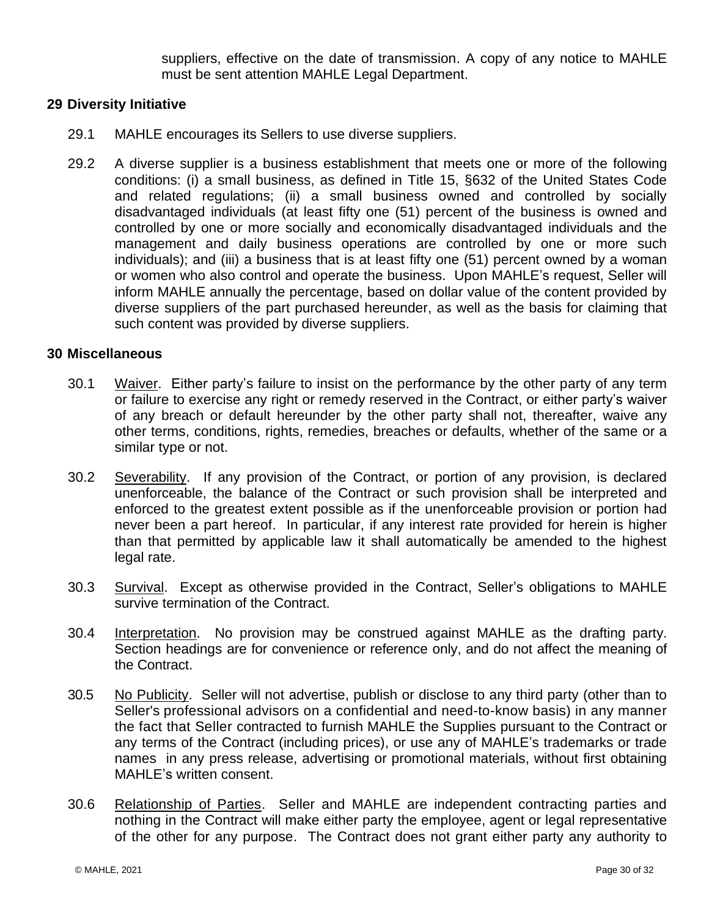suppliers, effective on the date of transmission. A copy of any notice to MAHLE must be sent attention MAHLE Legal Department.

# <span id="page-31-0"></span>**29 Diversity Initiative**

- 29.1 MAHLE encourages its Sellers to use diverse suppliers.
- 29.2 A diverse supplier is a business establishment that meets one or more of the following conditions: (i) a small business, as defined in Title 15, §632 of the United States Code and related regulations; (ii) a small business owned and controlled by socially disadvantaged individuals (at least fifty one (51) percent of the business is owned and controlled by one or more socially and economically disadvantaged individuals and the management and daily business operations are controlled by one or more such individuals); and (iii) a business that is at least fifty one (51) percent owned by a woman or women who also control and operate the business. Upon MAHLE's request, Seller will inform MAHLE annually the percentage, based on dollar value of the content provided by diverse suppliers of the part purchased hereunder, as well as the basis for claiming that such content was provided by diverse suppliers.

## <span id="page-31-1"></span>**30 Miscellaneous**

- 30.1 Waiver. Either party's failure to insist on the performance by the other party of any term or failure to exercise any right or remedy reserved in the Contract, or either party's waiver of any breach or default hereunder by the other party shall not, thereafter, waive any other terms, conditions, rights, remedies, breaches or defaults, whether of the same or a similar type or not.
- 30.2 Severability. If any provision of the Contract, or portion of any provision, is declared unenforceable, the balance of the Contract or such provision shall be interpreted and enforced to the greatest extent possible as if the unenforceable provision or portion had never been a part hereof. In particular, if any interest rate provided for herein is higher than that permitted by applicable law it shall automatically be amended to the highest legal rate.
- 30.3 Survival. Except as otherwise provided in the Contract, Seller's obligations to MAHLE survive termination of the Contract.
- 30.4 Interpretation. No provision may be construed against MAHLE as the drafting party. Section headings are for convenience or reference only, and do not affect the meaning of the Contract.
- 30.5 No Publicity. Seller will not advertise, publish or disclose to any third party (other than to Seller's professional advisors on a confidential and need-to-know basis) in any manner the fact that Seller contracted to furnish MAHLE the Supplies pursuant to the Contract or any terms of the Contract (including prices), or use any of MAHLE's trademarks or trade names in any press release, advertising or promotional materials, without first obtaining MAHLE's written consent.
- 30.6 Relationship of Parties. Seller and MAHLE are independent contracting parties and nothing in the Contract will make either party the employee, agent or legal representative of the other for any purpose. The Contract does not grant either party any authority to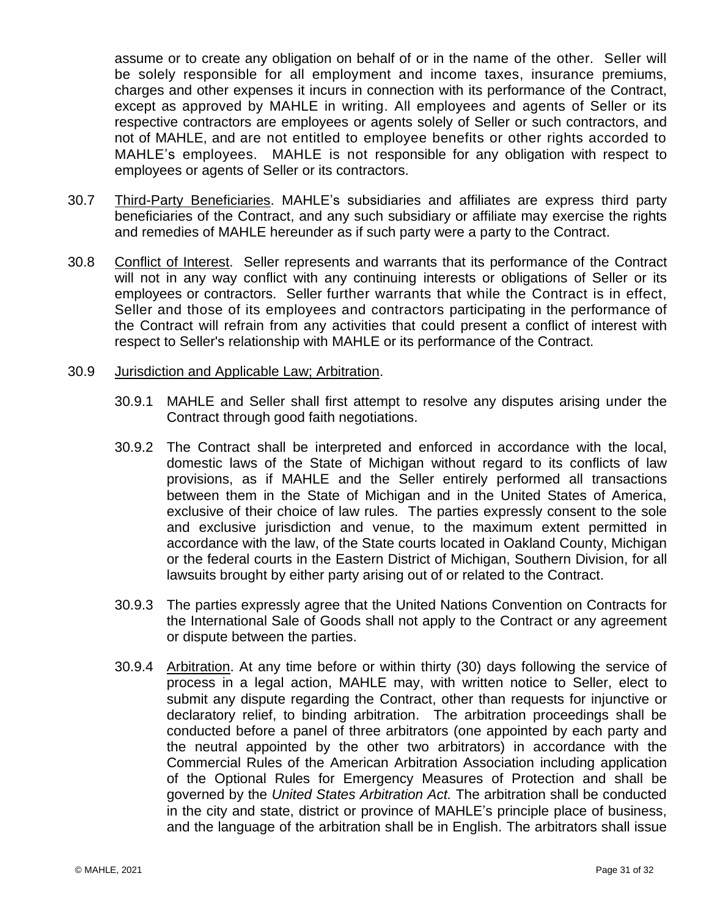assume or to create any obligation on behalf of or in the name of the other. Seller will be solely responsible for all employment and income taxes, insurance premiums, charges and other expenses it incurs in connection with its performance of the Contract, except as approved by MAHLE in writing. All employees and agents of Seller or its respective contractors are employees or agents solely of Seller or such contractors, and not of MAHLE, and are not entitled to employee benefits or other rights accorded to MAHLE's employees. MAHLE is not responsible for any obligation with respect to employees or agents of Seller or its contractors.

- 30.7 Third-Party Beneficiaries. MAHLE's subsidiaries and affiliates are express third party beneficiaries of the Contract, and any such subsidiary or affiliate may exercise the rights and remedies of MAHLE hereunder as if such party were a party to the Contract.
- 30.8 Conflict of Interest. Seller represents and warrants that its performance of the Contract will not in any way conflict with any continuing interests or obligations of Seller or its employees or contractors. Seller further warrants that while the Contract is in effect, Seller and those of its employees and contractors participating in the performance of the Contract will refrain from any activities that could present a conflict of interest with respect to Seller's relationship with MAHLE or its performance of the Contract.

#### 30.9 Jurisdiction and Applicable Law; Arbitration.

- 30.9.1 MAHLE and Seller shall first attempt to resolve any disputes arising under the Contract through good faith negotiations.
- 30.9.2 The Contract shall be interpreted and enforced in accordance with the local, domestic laws of the State of Michigan without regard to its conflicts of law provisions, as if MAHLE and the Seller entirely performed all transactions between them in the State of Michigan and in the United States of America, exclusive of their choice of law rules. The parties expressly consent to the sole and exclusive jurisdiction and venue, to the maximum extent permitted in accordance with the law, of the State courts located in Oakland County, Michigan or the federal courts in the Eastern District of Michigan, Southern Division, for all lawsuits brought by either party arising out of or related to the Contract.
- 30.9.3 The parties expressly agree that the United Nations Convention on Contracts for the International Sale of Goods shall not apply to the Contract or any agreement or dispute between the parties.
- 30.9.4 Arbitration. At any time before or within thirty (30) days following the service of process in a legal action, MAHLE may, with written notice to Seller, elect to submit any dispute regarding the Contract, other than requests for injunctive or declaratory relief, to binding arbitration. The arbitration proceedings shall be conducted before a panel of three arbitrators (one appointed by each party and the neutral appointed by the other two arbitrators) in accordance with the Commercial Rules of the American Arbitration Association including application of the Optional Rules for Emergency Measures of Protection and shall be governed by the *United States Arbitration Act.* The arbitration shall be conducted in the city and state, district or province of MAHLE's principle place of business, and the language of the arbitration shall be in English. The arbitrators shall issue